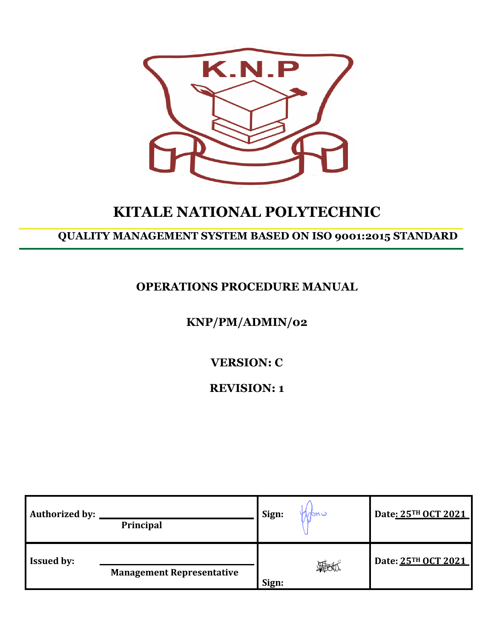

# **KITALE NATIONAL POLYTECHNIC**

# **QUALITY MANAGEMENT SYSTEM BASED ON ISO 9001:2015 STANDARD**

**OPERATIONS PROCEDURE MANUAL**

# **KNP/PM/ADMIN/02**

**VERSION: C**

**REVISION: 1**

| <b>Authorized by:</b> | Principal                        | Sign: | Date: 25TH OCT 2021 |
|-----------------------|----------------------------------|-------|---------------------|
| <b>Issued by:</b>     | <b>Management Representative</b> | Sign: | Date: 25TH OCT 2021 |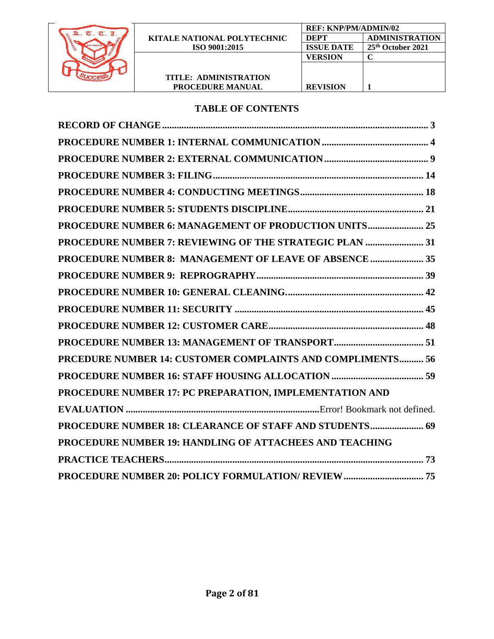

**PROCEDURE MANUAL**

### **TABLE OF CONTENTS**

| PROCEDURE NUMBER 6: MANAGEMENT OF PRODUCTION UNITS 25          |
|----------------------------------------------------------------|
| PROCEDURE NUMBER 7: REVIEWING OF THE STRATEGIC PLAN  31        |
| PROCEDURE NUMBER 8: MANAGEMENT OF LEAVE OF ABSENCE  35         |
|                                                                |
|                                                                |
|                                                                |
|                                                                |
|                                                                |
| PRCEDURE NUMBER 14: CUSTOMER COMPLAINTS AND COMPLIMENTS 56     |
|                                                                |
| PROCEDURE NUMBER 17: PC PREPARATION, IMPLEMENTATION AND        |
|                                                                |
| PROCEDURE NUMBER 18: CLEARANCE OF STAFF AND STUDENTS 69        |
| <b>PROCEDURE NUMBER 19: HANDLING OF ATTACHEES AND TEACHING</b> |
|                                                                |
|                                                                |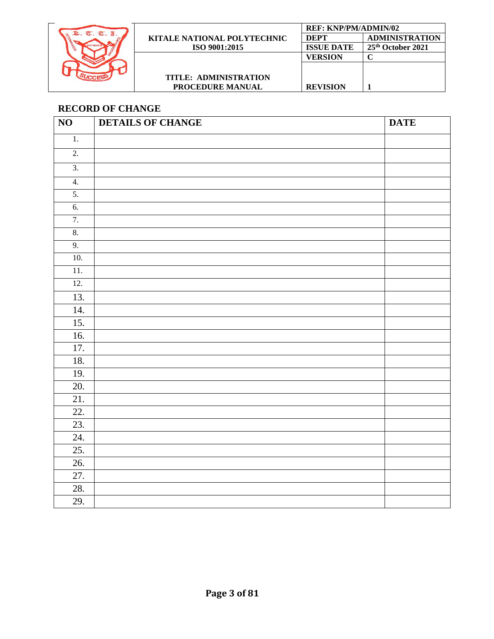

### <span id="page-2-0"></span>**RECORD OF CHANGE**

| $\overline{1}$ .  |  |  |
|-------------------|--|--|
|                   |  |  |
| $\overline{2}$ .  |  |  |
| $\overline{3}$ .  |  |  |
| 4.                |  |  |
| 5.                |  |  |
| $\overline{6}$ .  |  |  |
| 7.                |  |  |
| 8.                |  |  |
| 9.                |  |  |
| 10.               |  |  |
| $\overline{11}$ . |  |  |
| 12.               |  |  |
| 13.               |  |  |
| $\overline{14}$ . |  |  |
| 15.               |  |  |
| 16.               |  |  |
| 17.               |  |  |
| 18.               |  |  |
| 19.               |  |  |
| 20.               |  |  |
| 21.               |  |  |
| 22.<br>23.        |  |  |
| 24.               |  |  |
| 25.               |  |  |
| 26.               |  |  |
| 27.               |  |  |
| 28.               |  |  |
| 29.               |  |  |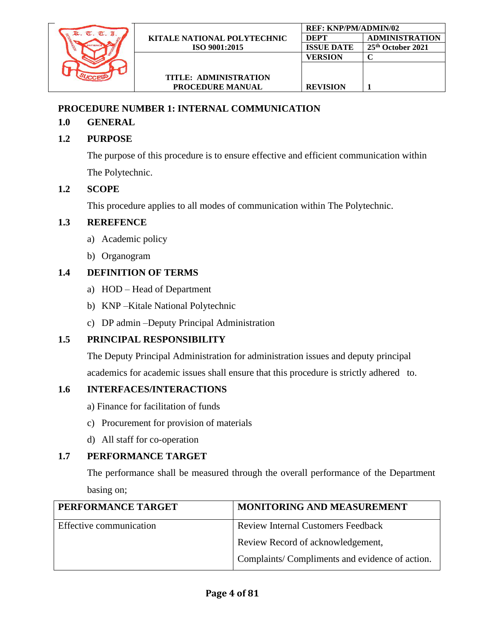

### <span id="page-3-0"></span>**PROCEDURE NUMBER 1: INTERNAL COMMUNICATION**

### **1.0 GENERAL**

# **1.2 PURPOSE**

The purpose of this procedure is to ensure effective and efficient communication within The Polytechnic.

# **1.2 SCOPE**

This procedure applies to all modes of communication within The Polytechnic.

### **1.3 REREFENCE**

- a) Academic policy
- b) Organogram

# **1.4 DEFINITION OF TERMS**

- a) HOD Head of Department
- b) KNP –Kitale National Polytechnic
- c) DP admin –Deputy Principal Administration

# **1.5 PRINCIPAL RESPONSIBILITY**

The Deputy Principal Administration for administration issues and deputy principal academics for academic issues shall ensure that this procedure is strictly adhered to.

# **1.6 INTERFACES/INTERACTIONS**

- a) Finance for facilitation of funds
- c) Procurement for provision of materials
- d) All staff for co-operation

# **1.7 PERFORMANCE TARGET**

The performance shall be measured through the overall performance of the Department basing on;

| PERFORMANCE TARGET      | MONITORING AND MEASUREMENT                     |
|-------------------------|------------------------------------------------|
| Effective communication | <b>Review Internal Customers Feedback</b>      |
|                         | Review Record of acknowledgement,              |
|                         | Complaints/Compliments and evidence of action. |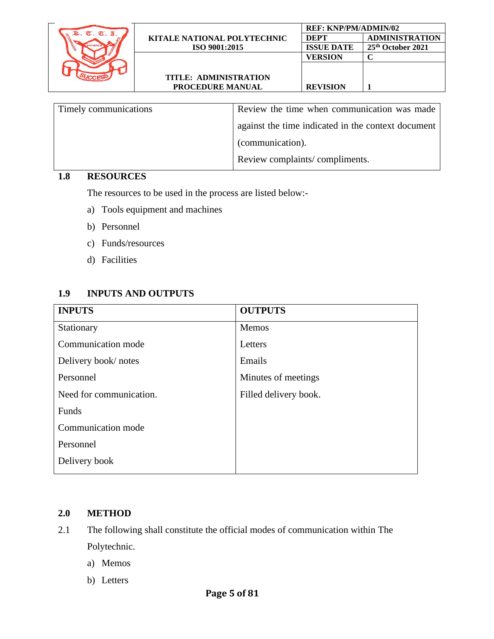|                        |                                    | <b>REF: KNP/PM/ADMIN/02</b> |                       |
|------------------------|------------------------------------|-----------------------------|-----------------------|
| $\sigma$<br>$\sigma$ . | <b>KITALE NATIONAL POLYTECHNIC</b> | <b>DEPT</b>                 | <b>ADMINISTRATION</b> |
|                        | ISO 9001:2015                      | <b>ISSUE DATE</b>           | 25th October 2021     |
|                        |                                    | <b>VERSION</b>              |                       |
|                        |                                    |                             |                       |
|                        | <b>TITLE: ADMINISTRATION</b>       |                             |                       |
|                        | <b>PROCEDURE MANUAL</b>            | <b>REVISION</b>             |                       |
|                        |                                    |                             |                       |

| Timely communications | Review the time when communication was made        |
|-----------------------|----------------------------------------------------|
|                       | against the time indicated in the context document |
|                       | (communication).                                   |
|                       | Review complaints/compliments.                     |

### **1.8 RESOURCES**

The resources to be used in the process are listed below:-

- a) Tools equipment and machines
- b) Personnel
- c) Funds/resources
- d) Facilities

### **1.9 INPUTS AND OUTPUTS**

| <b>INPUTS</b>           | <b>OUTPUTS</b>        |
|-------------------------|-----------------------|
| Stationary              | Memos                 |
| Communication mode      | Letters               |
| Delivery book/notes     | Emails                |
| Personnel               | Minutes of meetings   |
| Need for communication. | Filled delivery book. |
| Funds                   |                       |
| Communication mode      |                       |
| Personnel               |                       |
| Delivery book           |                       |

#### **2.0 METHOD**

- 2.1 The following shall constitute the official modes of communication within The Polytechnic.
	- a) Memos
	- b) Letters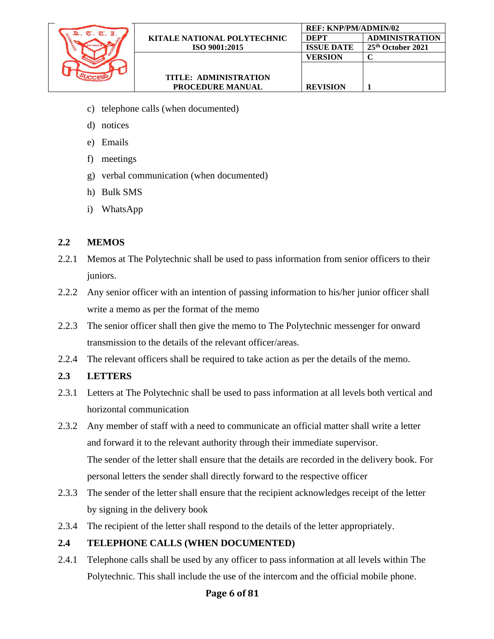

- c) telephone calls (when documented)
- d) notices
- e) Emails
- f) meetings
- g) verbal communication (when documented)
- h) Bulk SMS
- i) WhatsApp

### **2.2 MEMOS**

- 2.2.1 Memos at The Polytechnic shall be used to pass information from senior officers to their juniors.
- 2.2.2 Any senior officer with an intention of passing information to his/her junior officer shall write a memo as per the format of the memo
- 2.2.3 The senior officer shall then give the memo to The Polytechnic messenger for onward transmission to the details of the relevant officer/areas.
- 2.2.4 The relevant officers shall be required to take action as per the details of the memo.

### **2.3 LETTERS**

- 2.3.1 Letters at The Polytechnic shall be used to pass information at all levels both vertical and horizontal communication
- 2.3.2 Any member of staff with a need to communicate an official matter shall write a letter and forward it to the relevant authority through their immediate supervisor. The sender of the letter shall ensure that the details are recorded in the delivery book. For personal letters the sender shall directly forward to the respective officer
- 2.3.3 The sender of the letter shall ensure that the recipient acknowledges receipt of the letter by signing in the delivery book
- 2.3.4 The recipient of the letter shall respond to the details of the letter appropriately.

#### **2.4 TELEPHONE CALLS (WHEN DOCUMENTED)**

2.4.1 Telephone calls shall be used by any officer to pass information at all levels within The Polytechnic. This shall include the use of the intercom and the official mobile phone.

### **Page 6 of 81**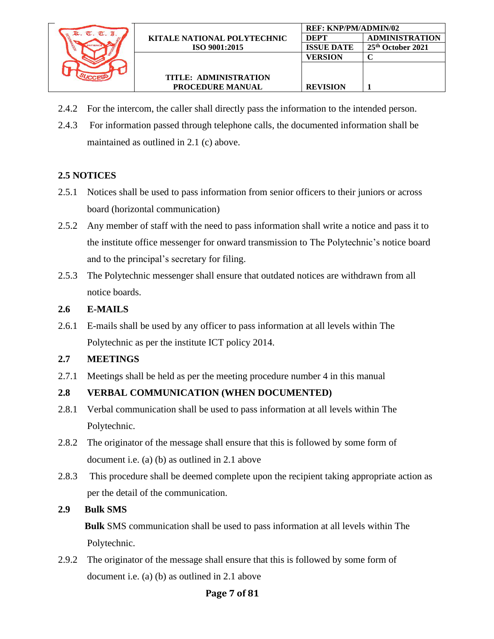

2.4.2 For the intercom, the caller shall directly pass the information to the intended person.

**REF: KNP/PM/ADMIN/02**

**VERSION C**

**REVISION 1**

**DEPT ADMINISTRATION ISSUE DATE 25th October 2021**

2.4.3 For information passed through telephone calls, the documented information shall be maintained as outlined in 2.1 (c) above.

### **2.5 NOTICES**

- 2.5.1 Notices shall be used to pass information from senior officers to their juniors or across board (horizontal communication)
- 2.5.2 Any member of staff with the need to pass information shall write a notice and pass it to the institute office messenger for onward transmission to The Polytechnic's notice board and to the principal's secretary for filing.
- 2.5.3 The Polytechnic messenger shall ensure that outdated notices are withdrawn from all notice boards.

#### **2.6 E-MAILS**

2.6.1 E-mails shall be used by any officer to pass information at all levels within The Polytechnic as per the institute ICT policy 2014.

#### **2.7 MEETINGS**

2.7.1 Meetings shall be held as per the meeting procedure number 4 in this manual

### **2.8 VERBAL COMMUNICATION (WHEN DOCUMENTED)**

- 2.8.1 Verbal communication shall be used to pass information at all levels within The Polytechnic.
- 2.8.2 The originator of the message shall ensure that this is followed by some form of document i.e. (a) (b) as outlined in 2.1 above
- 2.8.3 This procedure shall be deemed complete upon the recipient taking appropriate action as per the detail of the communication.

#### **2.9 Bulk SMS**

 **Bulk** SMS communication shall be used to pass information at all levels within The Polytechnic.

2.9.2 The originator of the message shall ensure that this is followed by some form of document i.e. (a) (b) as outlined in 2.1 above

### **Page 7 of 81**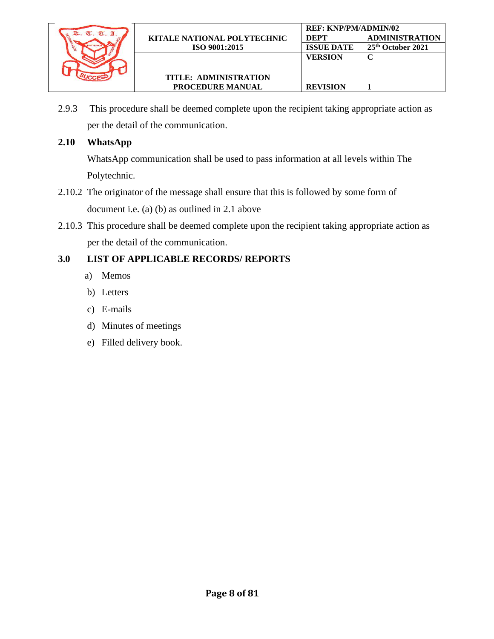

**REVISION 1**

2.9.3 This procedure shall be deemed complete upon the recipient taking appropriate action as per the detail of the communication.

### **2.10 WhatsApp**

WhatsApp communication shall be used to pass information at all levels within The Polytechnic.

- 2.10.2 The originator of the message shall ensure that this is followed by some form of document i.e. (a) (b) as outlined in 2.1 above
- 2.10.3 This procedure shall be deemed complete upon the recipient taking appropriate action as per the detail of the communication.

- a) Memos
- b) Letters
- c) E-mails
- d) Minutes of meetings
- e) Filled delivery book.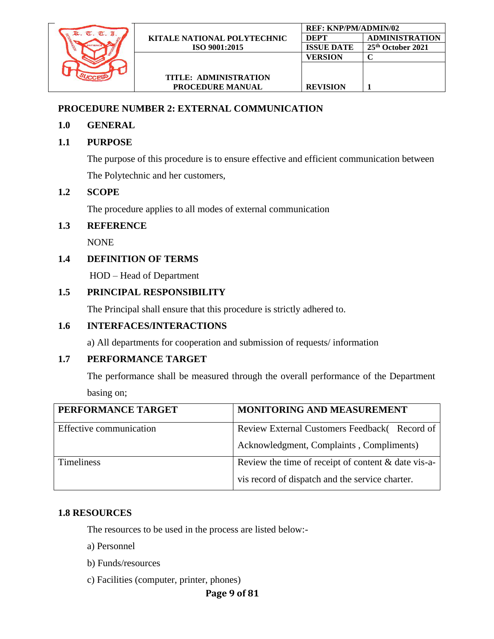

### <span id="page-8-0"></span>**PROCEDURE NUMBER 2: EXTERNAL COMMUNICATION**

### **1.0 GENERAL**

### **1.1 PURPOSE**

The purpose of this procedure is to ensure effective and efficient communication between The Polytechnic and her customers,

### **1.2 SCOPE**

The procedure applies to all modes of external communication

### **1.3 REFERENCE**

NONE

### **1.4 DEFINITION OF TERMS**

HOD – Head of Department

### **1.5 PRINCIPAL RESPONSIBILITY**

The Principal shall ensure that this procedure is strictly adhered to.

### **1.6 INTERFACES/INTERACTIONS**

a) All departments for cooperation and submission of requests/ information

### **1.7 PERFORMANCE TARGET**

The performance shall be measured through the overall performance of the Department basing on;

| PERFORMANCE TARGET      | MONITORING AND MEASUREMENT                                                                               |
|-------------------------|----------------------------------------------------------------------------------------------------------|
| Effective communication | Review External Customers Feedback(Record of<br>Acknowledgment, Complaints, Compliments)                 |
| <b>Timeliness</b>       | Review the time of receipt of content $&$ date vis-a-<br>vis record of dispatch and the service charter. |

### **1.8 RESOURCES**

The resources to be used in the process are listed below:-

a) Personnel

- b) Funds/resources
- c) Facilities (computer, printer, phones)

### **Page 9 of 81**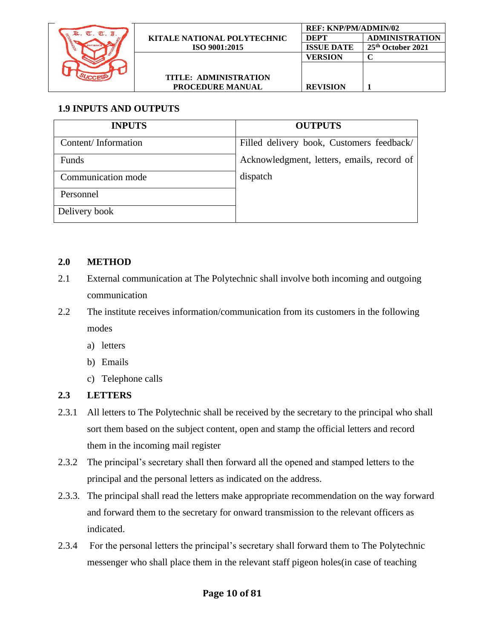

# **1.9 INPUTS AND OUTPUTS**

| <b>INPUTS</b>       | <b>OUTPUTS</b>                             |
|---------------------|--------------------------------------------|
| Content/Information | Filled delivery book, Customers feedback/  |
| Funds               | Acknowledgment, letters, emails, record of |
| Communication mode  | dispatch                                   |
| Personnel           |                                            |
| Delivery book       |                                            |

### **2.0 METHOD**

- 2.1 External communication at The Polytechnic shall involve both incoming and outgoing communication
- 2.2 The institute receives information/communication from its customers in the following modes
	- a) letters
	- b) Emails
	- c) Telephone calls

### **2.3 LETTERS**

- 2.3.1 All letters to The Polytechnic shall be received by the secretary to the principal who shall sort them based on the subject content, open and stamp the official letters and record them in the incoming mail register
- 2.3.2 The principal's secretary shall then forward all the opened and stamped letters to the principal and the personal letters as indicated on the address.
- 2.3.3. The principal shall read the letters make appropriate recommendation on the way forward and forward them to the secretary for onward transmission to the relevant officers as indicated.
- 2.3.4 For the personal letters the principal's secretary shall forward them to The Polytechnic messenger who shall place them in the relevant staff pigeon holes(in case of teaching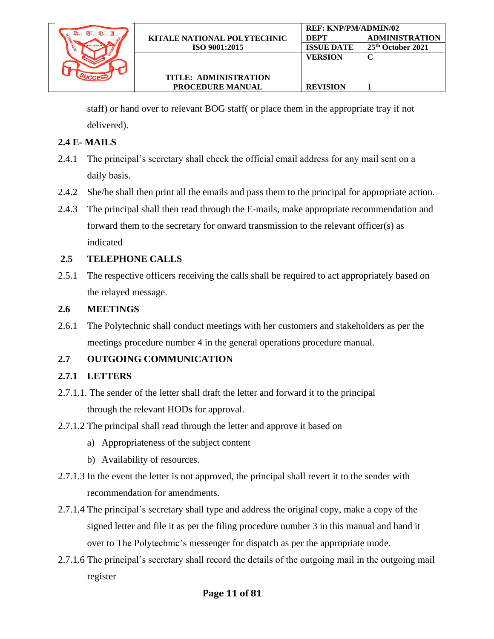

staff) or hand over to relevant BOG staff( or place them in the appropriate tray if not delivered).

**REF: KNP/PM/ADMIN/02**

**VERSION C**

**REVISION 1**

**DEPT ADMINISTRATION ISSUE DATE 25th October 2021**

### **2.4 E- MAILS**

- 2.4.1 The principal's secretary shall check the official email address for any mail sent on a daily basis.
- 2.4.2 She/he shall then print all the emails and pass them to the principal for appropriate action.
- 2.4.3 The principal shall then read through the E-mails, make appropriate recommendation and forward them to the secretary for onward transmission to the relevant officer(s) as indicated

### **2.5 TELEPHONE CALLS**

2.5.1 The respective officers receiving the calls shall be required to act appropriately based on the relayed message.

### **2.6 MEETINGS**

2.6.1 The Polytechnic shall conduct meetings with her customers and stakeholders as per the meetings procedure number 4 in the general operations procedure manual.

### **2.7 OUTGOING COMMUNICATION**

#### **2.7.1 LETTERS**

- 2.7.1.1. The sender of the letter shall draft the letter and forward it to the principal through the relevant HODs for approval.
- 2.7.1.2 The principal shall read through the letter and approve it based on
	- a) Appropriateness of the subject content
	- b) Availability of resources.
- 2.7.1.3 In the event the letter is not approved, the principal shall revert it to the sender with recommendation for amendments.
- 2.7.1.4 The principal's secretary shall type and address the original copy, make a copy of the signed letter and file it as per the filing procedure number 3 in this manual and hand it over to The Polytechnic's messenger for dispatch as per the appropriate mode.
- 2.7.1.6 The principal's secretary shall record the details of the outgoing mail in the outgoing mail register

### **Page 11 of 81**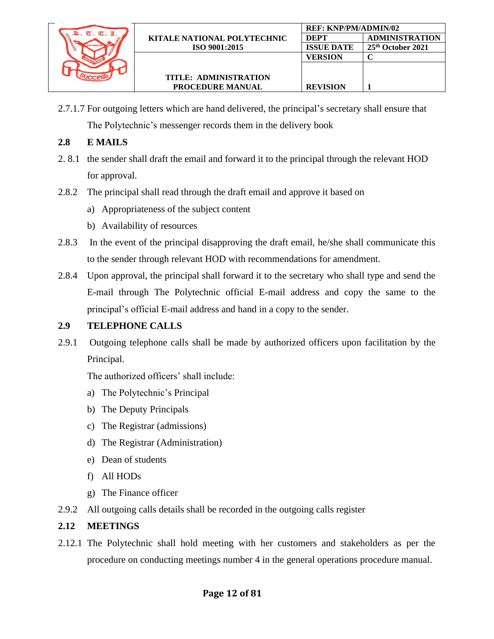

**REF: KNP/PM/ADMIN/02**

**VERSION C**

**REVISION 1**

**DEPT ADMINISTRATION ISSUE DATE 25th October 2021**

### **2.8 E MAILS**

- 2. 8.1 the sender shall draft the email and forward it to the principal through the relevant HOD for approval.
- 2.8.2 The principal shall read through the draft email and approve it based on
	- a) Appropriateness of the subject content
	- b) Availability of resources
- 2.8.3 In the event of the principal disapproving the draft email, he/she shall communicate this to the sender through relevant HOD with recommendations for amendment.
- 2.8.4 Upon approval, the principal shall forward it to the secretary who shall type and send the E-mail through The Polytechnic official E-mail address and copy the same to the principal's official E-mail address and hand in a copy to the sender.

### **2.9 TELEPHONE CALLS**

2.9.1 Outgoing telephone calls shall be made by authorized officers upon facilitation by the Principal.

The authorized officers' shall include:

- a) The Polytechnic's Principal
- b) The Deputy Principals
- c) The Registrar (admissions)
- d) The Registrar (Administration)
- e) Dean of students
- f) All HODs
- g) The Finance officer
- 2.9.2 All outgoing calls details shall be recorded in the outgoing calls register

#### **2.12 MEETINGS**

2.12.1 The Polytechnic shall hold meeting with her customers and stakeholders as per the procedure on conducting meetings number 4 in the general operations procedure manual.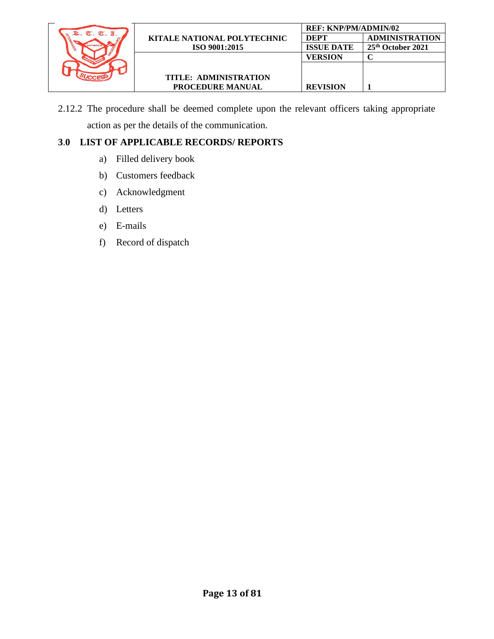

2.12.2 The procedure shall be deemed complete upon the relevant officers taking appropriate action as per the details of the communication.

- a) Filled delivery book
- b) Customers feedback
- c) Acknowledgment
- d) Letters
- e) E-mails
- f) Record of dispatch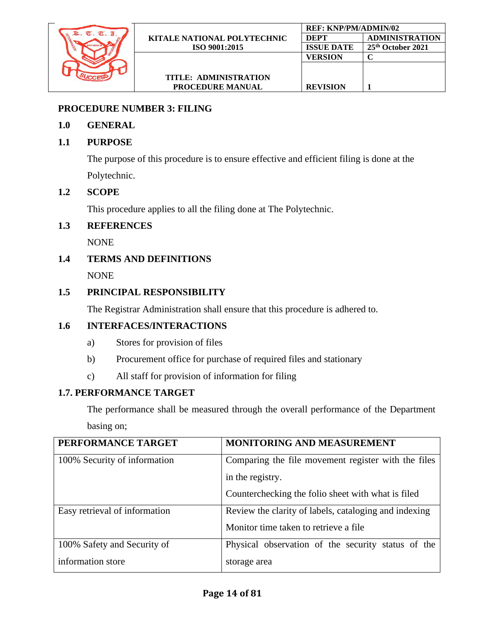

### <span id="page-13-0"></span>**PROCEDURE NUMBER 3: FILING**

### **1.0 GENERAL**

### **1.1 PURPOSE**

The purpose of this procedure is to ensure effective and efficient filing is done at the Polytechnic.

### **1.2 SCOPE**

This procedure applies to all the filing done at The Polytechnic.

### **1.3 REFERENCES**

NONE

### **1.4 TERMS AND DEFINITIONS**

NONE

### **1.5 PRINCIPAL RESPONSIBILITY**

The Registrar Administration shall ensure that this procedure is adhered to.

### **1.6 INTERFACES/INTERACTIONS**

- a) Stores for provision of files
- b) Procurement office for purchase of required files and stationary
- c) All staff for provision of information for filing

### **1.7. PERFORMANCE TARGET**

The performance shall be measured through the overall performance of the Department basing on;

| PERFORMANCE TARGET            | <b>MONITORING AND MEASUREMENT</b>                     |
|-------------------------------|-------------------------------------------------------|
| 100% Security of information  | Comparing the file movement register with the files   |
|                               | in the registry.                                      |
|                               | Counterchecking the folio sheet with what is filed    |
| Easy retrieval of information | Review the clarity of labels, cataloging and indexing |
|                               | Monitor time taken to retrieve a file.                |
| 100% Safety and Security of   | Physical observation of the security status of the    |
| information store             | storage area                                          |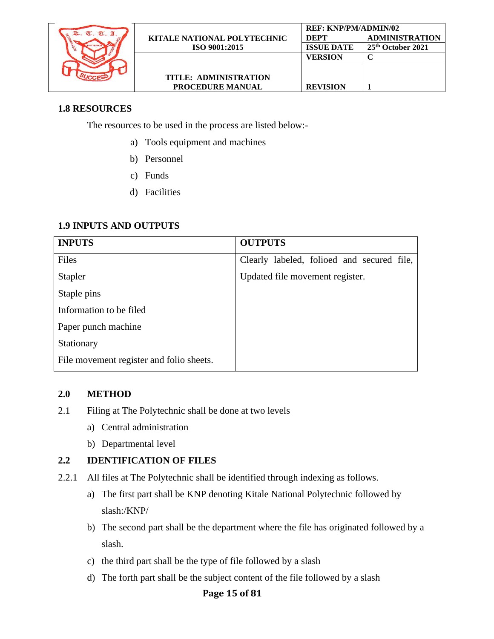

### **1.8 RESOURCES**

The resources to be used in the process are listed below:-

- a) Tools equipment and machines
- b) Personnel
- c) Funds
- d) Facilities

### **1.9 INPUTS AND OUTPUTS**

| <b>INPUTS</b>                            | <b>OUTPUTS</b>                             |
|------------------------------------------|--------------------------------------------|
| Files                                    | Clearly labeled, folioed and secured file, |
| <b>Stapler</b>                           | Updated file movement register.            |
| Staple pins                              |                                            |
| Information to be filed                  |                                            |
| Paper punch machine                      |                                            |
| Stationary                               |                                            |
| File movement register and folio sheets. |                                            |

#### **2.0 METHOD**

- 2.1 Filing at The Polytechnic shall be done at two levels
	- a) Central administration
	- b) Departmental level

### **2.2 IDENTIFICATION OF FILES**

- 2.2.1 All files at The Polytechnic shall be identified through indexing as follows.
	- a) The first part shall be KNP denoting Kitale National Polytechnic followed by slash:/KNP/
	- b) The second part shall be the department where the file has originated followed by a slash.
	- c) the third part shall be the type of file followed by a slash
	- d) The forth part shall be the subject content of the file followed by a slash

### **Page 15 of 81**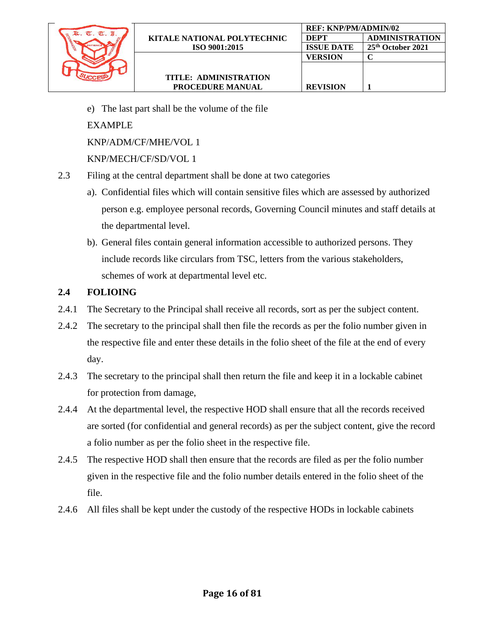

e) The last part shall be the volume of the file

EXAMPLE

KNP/ADM/CF/MHE/VOL 1

### KNP/MECH/CF/SD/VOL 1

- 2.3 Filing at the central department shall be done at two categories
	- a). Confidential files which will contain sensitive files which are assessed by authorized person e.g. employee personal records, Governing Council minutes and staff details at the departmental level.
	- b). General files contain general information accessible to authorized persons. They include records like circulars from TSC, letters from the various stakeholders, schemes of work at departmental level etc.

### **2.4 FOLIOING**

- 2.4.1 The Secretary to the Principal shall receive all records, sort as per the subject content.
- 2.4.2 The secretary to the principal shall then file the records as per the folio number given in the respective file and enter these details in the folio sheet of the file at the end of every day.
- 2.4.3 The secretary to the principal shall then return the file and keep it in a lockable cabinet for protection from damage,
- 2.4.4 At the departmental level, the respective HOD shall ensure that all the records received are sorted (for confidential and general records) as per the subject content, give the record a folio number as per the folio sheet in the respective file.
- 2.4.5 The respective HOD shall then ensure that the records are filed as per the folio number given in the respective file and the folio number details entered in the folio sheet of the file.
- 2.4.6 All files shall be kept under the custody of the respective HODs in lockable cabinets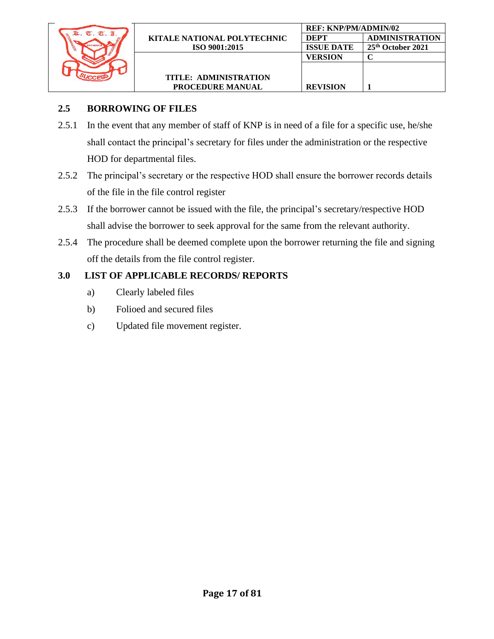

2.5.1 In the event that any member of staff of KNP is in need of a file for a specific use, he/she shall contact the principal's secretary for files under the administration or the respective HOD for departmental files.

**REVISION 1**

- 2.5.2 The principal's secretary or the respective HOD shall ensure the borrower records details of the file in the file control register
- 2.5.3 If the borrower cannot be issued with the file, the principal's secretary/respective HOD shall advise the borrower to seek approval for the same from the relevant authority.
- 2.5.4 The procedure shall be deemed complete upon the borrower returning the file and signing off the details from the file control register.

- a) Clearly labeled files
- b) Folioed and secured files
- c) Updated file movement register.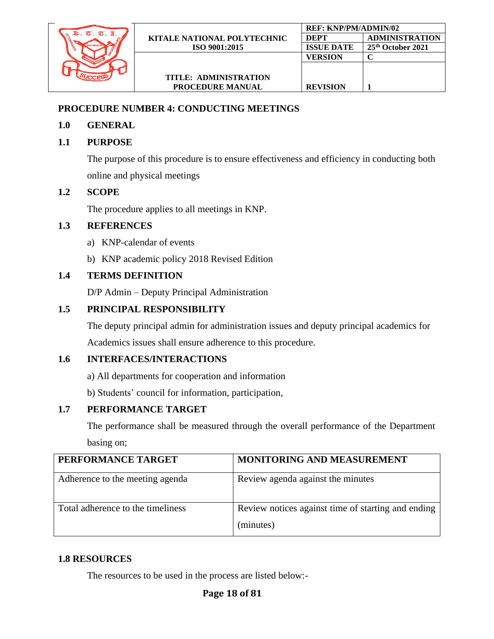

### <span id="page-17-0"></span>**PROCEDURE NUMBER 4: CONDUCTING MEETINGS**

### **1.0 GENERAL**

### **1.1 PURPOSE**

The purpose of this procedure is to ensure effectiveness and efficiency in conducting both online and physical meetings

### **1.2 SCOPE**

The procedure applies to all meetings in KNP.

### **1.3 REFERENCES**

- a) KNP-calendar of events
- b) KNP academic policy 2018 Revised Edition

### **1.4 TERMS DEFINITION**

D/P Admin – Deputy Principal Administration

### **1.5 PRINCIPAL RESPONSIBILITY**

The deputy principal admin for administration issues and deputy principal academics for Academics issues shall ensure adherence to this procedure.

### **1.6 INTERFACES/INTERACTIONS**

a) All departments for cooperation and information

b) Students' council for information, participation,

### **1.7 PERFORMANCE TARGET**

The performance shall be measured through the overall performance of the Department basing on;

| PERFORMANCE TARGET                | <b>MONITORING AND MEASUREMENT</b>                               |
|-----------------------------------|-----------------------------------------------------------------|
| Adherence to the meeting agenda   | Review agenda against the minutes                               |
| Total adherence to the timeliness | Review notices against time of starting and ending<br>(minutes) |

### **1.8 RESOURCES**

The resources to be used in the process are listed below:-

### **Page 18 of 81**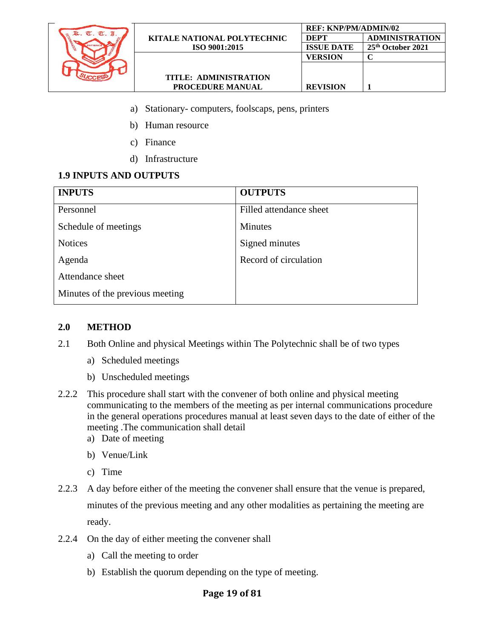

- a) Stationary- computers, foolscaps, pens, printers
- b) Human resource
- c) Finance
- d) Infrastructure

### **1.9 INPUTS AND OUTPUTS**

| <b>INPUTS</b>                   | <b>OUTPUTS</b>          |
|---------------------------------|-------------------------|
| Personnel                       | Filled attendance sheet |
| Schedule of meetings            | <b>Minutes</b>          |
| <b>Notices</b>                  | Signed minutes          |
| Agenda                          | Record of circulation   |
| Attendance sheet                |                         |
| Minutes of the previous meeting |                         |

#### **2.0 METHOD**

- 2.1 Both Online and physical Meetings within The Polytechnic shall be of two types
	- a) Scheduled meetings
	- b) Unscheduled meetings
- 2.2.2 This procedure shall start with the convener of both online and physical meeting communicating to the members of the meeting as per internal communications procedure in the general operations procedures manual at least seven days to the date of either of the meeting .The communication shall detail
	- a) Date of meeting
	- b) Venue/Link
	- c) Time
- 2.2.3 A day before either of the meeting the convener shall ensure that the venue is prepared, minutes of the previous meeting and any other modalities as pertaining the meeting are ready.
- 2.2.4 On the day of either meeting the convener shall
	- a) Call the meeting to order
	- b) Establish the quorum depending on the type of meeting.

#### **Page 19 of 81**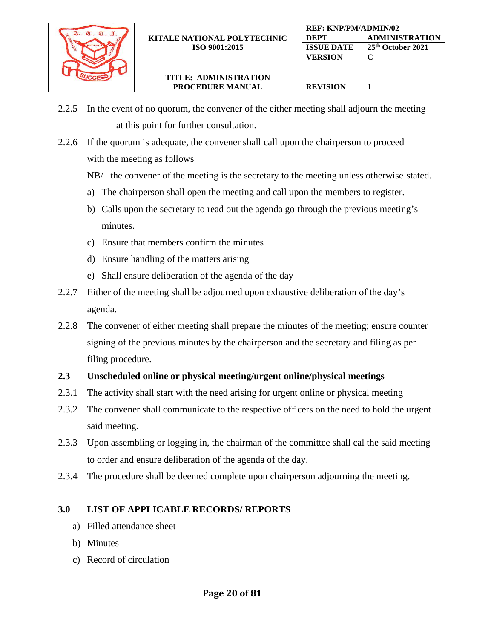

**REVISION 1**

- 2.2.5 In the event of no quorum, the convener of the either meeting shall adjourn the meeting at this point for further consultation.
- 2.2.6 If the quorum is adequate, the convener shall call upon the chairperson to proceed with the meeting as follows
	- NB/ the convener of the meeting is the secretary to the meeting unless otherwise stated.
	- a) The chairperson shall open the meeting and call upon the members to register.
	- b) Calls upon the secretary to read out the agenda go through the previous meeting's minutes.
	- c) Ensure that members confirm the minutes
	- d) Ensure handling of the matters arising
	- e) Shall ensure deliberation of the agenda of the day
- 2.2.7 Either of the meeting shall be adjourned upon exhaustive deliberation of the day's agenda.
- 2.2.8 The convener of either meeting shall prepare the minutes of the meeting; ensure counter signing of the previous minutes by the chairperson and the secretary and filing as per filing procedure.

### **2.3 Unscheduled online or physical meeting/urgent online/physical meetings**

- 2.3.1 The activity shall start with the need arising for urgent online or physical meeting
- 2.3.2 The convener shall communicate to the respective officers on the need to hold the urgent said meeting.
- 2.3.3 Upon assembling or logging in, the chairman of the committee shall cal the said meeting to order and ensure deliberation of the agenda of the day.
- 2.3.4 The procedure shall be deemed complete upon chairperson adjourning the meeting.

- a) Filled attendance sheet
- b) Minutes
- <span id="page-19-0"></span>c) Record of circulation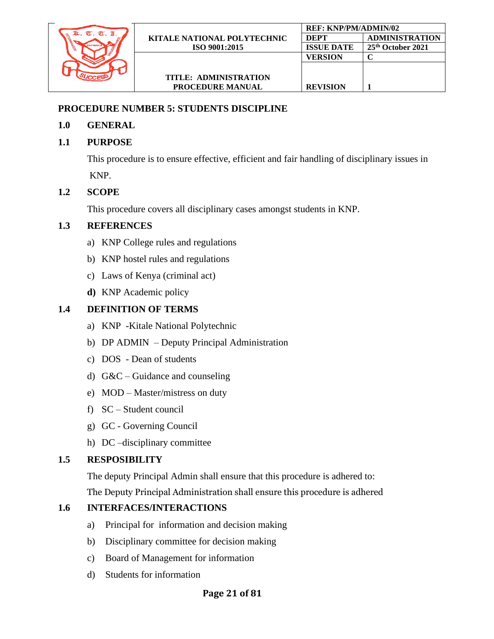

### **PROCEDURE NUMBER 5: STUDENTS DISCIPLINE**

### **1.0 GENERAL**

# **1.1 PURPOSE**

This procedure is to ensure effective, efficient and fair handling of disciplinary issues in KNP.

# **1.2 SCOPE**

This procedure covers all disciplinary cases amongst students in KNP.

# **1.3 REFERENCES**

- a) KNP College rules and regulations
- b) KNP hostel rules and regulations
- c) Laws of Kenya (criminal act)
- **d)** KNP Academic policy

# **1.4 DEFINITION OF TERMS**

- a) KNP -Kitale National Polytechnic
- b) DP ADMIN Deputy Principal Administration
- c) DOS Dean of students
- d)  $G&C$  Guidance and counseling
- e) MOD Master/mistress on duty
- f) SC Student council
- g) GC Governing Council
- h) DC –disciplinary committee

# **1.5 RESPOSIBILITY**

The deputy Principal Admin shall ensure that this procedure is adhered to: The Deputy Principal Administration shall ensure this procedure is adhered

# **1.6 INTERFACES/INTERACTIONS**

- a) Principal for information and decision making
- b) Disciplinary committee for decision making
- c) Board of Management for information
- d) Students for information

# **Page 21 of 81**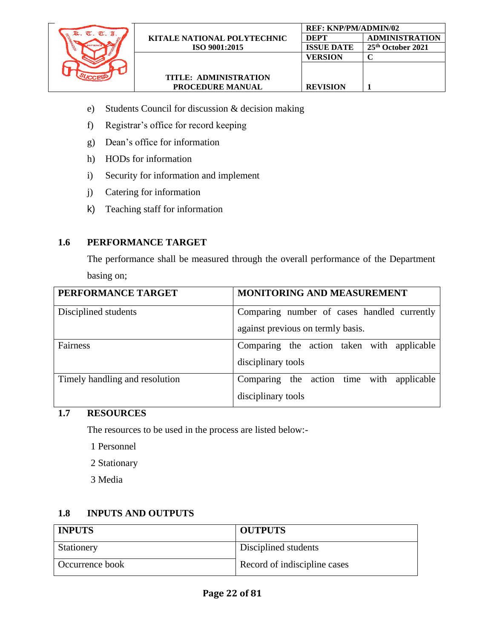

**REF: KNP/PM/ADMIN/02**

**VERSION C**

**REVISION 1**

**DEPT ADMINISTRATION ISSUE DATE 25th October 2021**

- e) Students Council for discussion & decision making
- f) Registrar's office for record keeping
- g) Dean's office for information
- h) HODs for information
- i) Security for information and implement
- j) Catering for information
- k) Teaching staff for information

#### **1.6 PERFORMANCE TARGET**

The performance shall be measured through the overall performance of the Department basing on;

| PERFORMANCE TARGET             | <b>MONITORING AND MEASUREMENT</b>           |  |  |  |
|--------------------------------|---------------------------------------------|--|--|--|
| Disciplined students           | Comparing number of cases handled currently |  |  |  |
|                                | against previous on termly basis.           |  |  |  |
| Fairness                       | Comparing the action taken with applicable  |  |  |  |
|                                | disciplinary tools                          |  |  |  |
| Timely handling and resolution | Comparing the action time with applicable   |  |  |  |
|                                | disciplinary tools                          |  |  |  |

#### **1.7 RESOURCES**

The resources to be used in the process are listed below:-

- 1 Personnel
- 2 Stationary
- 3 Media

#### **1.8 INPUTS AND OUTPUTS**

| <b>INPUTS</b>   | <b>OUTPUTS</b>               |
|-----------------|------------------------------|
| Stationery      | Disciplined students         |
| Occurrence book | Record of indiscipline cases |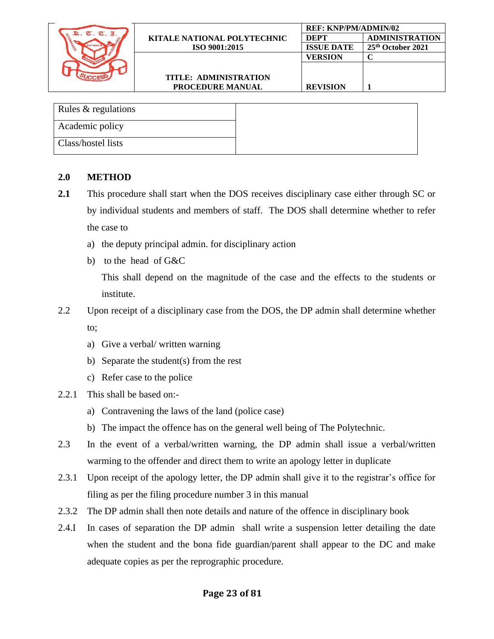

| Rules & regulations |
|---------------------|
| Academic policy     |
| Class/hostel lists  |

#### **2.0 METHOD**

- **2.1** This procedure shall start when the DOS receives disciplinary case either through SC or by individual students and members of staff. The DOS shall determine whether to refer the case to
	- a) the deputy principal admin. for disciplinary action
	- b) to the head of G&C

This shall depend on the magnitude of the case and the effects to the students or institute.

- 2.2 Upon receipt of a disciplinary case from the DOS, the DP admin shall determine whether to;
	- a) Give a verbal/ written warning
	- b) Separate the student(s) from the rest
	- c) Refer case to the police
- 2.2.1 This shall be based on:
	- a) Contravening the laws of the land (police case)
	- b) The impact the offence has on the general well being of The Polytechnic.
- 2.3 In the event of a verbal/written warning, the DP admin shall issue a verbal/written warming to the offender and direct them to write an apology letter in duplicate
- 2.3.1 Upon receipt of the apology letter, the DP admin shall give it to the registrar's office for filing as per the filing procedure number 3 in this manual
- 2.3.2 The DP admin shall then note details and nature of the offence in disciplinary book
- 2.4.I In cases of separation the DP admin shall write a suspension letter detailing the date when the student and the bona fide guardian/parent shall appear to the DC and make adequate copies as per the reprographic procedure.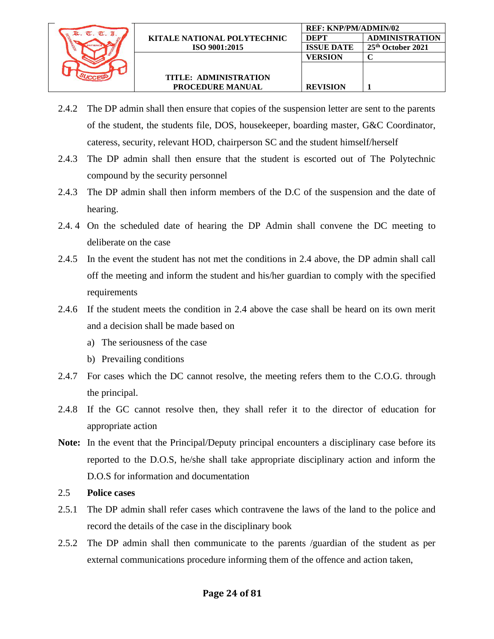

**REVISION 1**

- 2.4.2 The DP admin shall then ensure that copies of the suspension letter are sent to the parents of the student, the students file, DOS, housekeeper, boarding master, G&C Coordinator, cateress, security, relevant HOD, chairperson SC and the student himself/herself
- 2.4.3 The DP admin shall then ensure that the student is escorted out of The Polytechnic compound by the security personnel
- 2.4.3 The DP admin shall then inform members of the D.C of the suspension and the date of hearing.
- 2.4. 4 On the scheduled date of hearing the DP Admin shall convene the DC meeting to deliberate on the case
- 2.4.5 In the event the student has not met the conditions in 2.4 above, the DP admin shall call off the meeting and inform the student and his/her guardian to comply with the specified requirements
- 2.4.6 If the student meets the condition in 2.4 above the case shall be heard on its own merit and a decision shall be made based on
	- a) The seriousness of the case
	- b) Prevailing conditions
- 2.4.7 For cases which the DC cannot resolve, the meeting refers them to the C.O.G. through the principal.
- 2.4.8 If the GC cannot resolve then, they shall refer it to the director of education for appropriate action
- **Note:** In the event that the Principal/Deputy principal encounters a disciplinary case before its reported to the D.O.S, he/she shall take appropriate disciplinary action and inform the D.O.S for information and documentation
- 2.5 **Police cases**
- 2.5.1 The DP admin shall refer cases which contravene the laws of the land to the police and record the details of the case in the disciplinary book
- 2.5.2 The DP admin shall then communicate to the parents /guardian of the student as per external communications procedure informing them of the offence and action taken,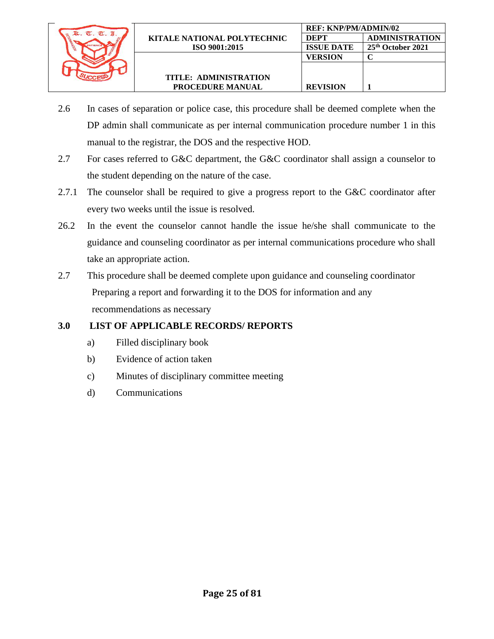

**REVISION 1**

- 2.6 In cases of separation or police case, this procedure shall be deemed complete when the DP admin shall communicate as per internal communication procedure number 1 in this manual to the registrar, the DOS and the respective HOD.
- 2.7 For cases referred to G&C department, the G&C coordinator shall assign a counselor to the student depending on the nature of the case.
- 2.7.1 The counselor shall be required to give a progress report to the G&C coordinator after every two weeks until the issue is resolved.
- 26.2 In the event the counselor cannot handle the issue he/she shall communicate to the guidance and counseling coordinator as per internal communications procedure who shall take an appropriate action.
- 2.7 This procedure shall be deemed complete upon guidance and counseling coordinator Preparing a report and forwarding it to the DOS for information and any recommendations as necessary

- a) Filled disciplinary book
- b) Evidence of action taken
- c) Minutes of disciplinary committee meeting
- <span id="page-24-0"></span>d) Communications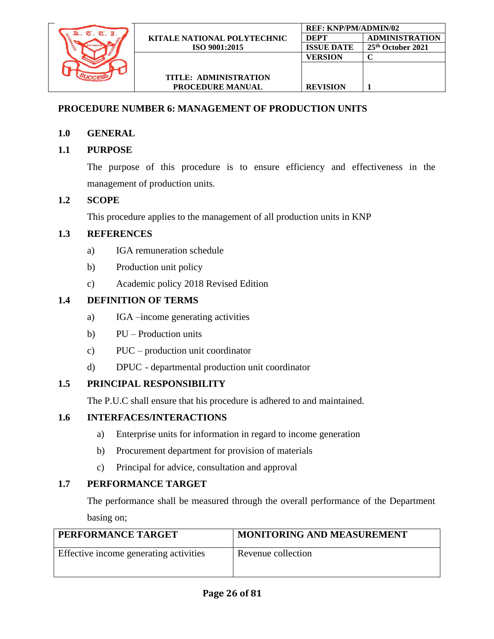

# **PROCEDURE NUMBER 6: MANAGEMENT OF PRODUCTION UNITS**

### **1.0 GENERAL**

### **1.1 PURPOSE**

The purpose of this procedure is to ensure efficiency and effectiveness in the management of production units.

### **1.2 SCOPE**

This procedure applies to the management of all production units in KNP

### **1.3 REFERENCES**

- a) IGA remuneration schedule
- b) Production unit policy
- c) Academic policy 2018 Revised Edition

### **1.4 DEFINITION OF TERMS**

- a) IGA –income generating activities
- b) PU Production units
- c) PUC production unit coordinator
- d) DPUC departmental production unit coordinator

### **1.5 PRINCIPAL RESPONSIBILITY**

The P.U.C shall ensure that his procedure is adhered to and maintained.

#### **1.6 INTERFACES/INTERACTIONS**

- a) Enterprise units for information in regard to income generation
- b) Procurement department for provision of materials
- c) Principal for advice, consultation and approval

### **1.7 PERFORMANCE TARGET**

The performance shall be measured through the overall performance of the Department basing on;

| PERFORMANCE TARGET                     | MONITORING AND MEASUREMENT |
|----------------------------------------|----------------------------|
| Effective income generating activities | Revenue collection         |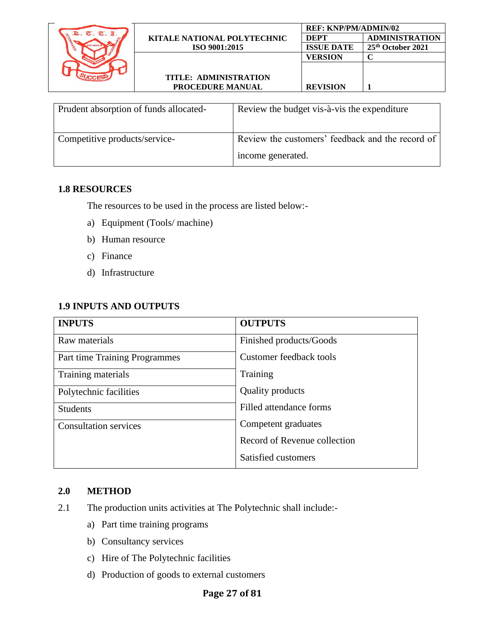|            |                                    | <b>REF: KNP/PM/ADMIN/02</b> |                               |
|------------|------------------------------------|-----------------------------|-------------------------------|
| $\sigma$ . | <b>KITALE NATIONAL POLYTECHNIC</b> | <b>DEPT</b>                 | <b>ADMINISTRATION</b>         |
|            | ISO 9001:2015                      | <b>ISSUE DATE</b>           | 25 <sup>th</sup> October 2021 |
|            |                                    | <b>VERSION</b>              |                               |
|            |                                    |                             |                               |
|            | TITLE: ADMINISTRATION              |                             |                               |
|            | <b>PROCEDURE MANUAL</b>            | <b>REVISION</b>             |                               |
|            |                                    |                             |                               |

| Prudent absorption of funds allocated- | Review the budget vis-à-vis the expenditure      |
|----------------------------------------|--------------------------------------------------|
| Competitive products/service-          | Review the customers' feedback and the record of |
|                                        | income generated.                                |

#### **1.8 RESOURCES**

The resources to be used in the process are listed below:-

- a) Equipment (Tools/ machine)
- b) Human resource
- c) Finance
- d) Infrastructure

### **1.9 INPUTS AND OUTPUTS**

| <b>INPUTS</b>                 | <b>OUTPUTS</b>               |
|-------------------------------|------------------------------|
| Raw materials                 | Finished products/Goods      |
| Part time Training Programmes | Customer feedback tools      |
| Training materials            | Training                     |
| Polytechnic facilities        | <b>Quality products</b>      |
| <b>Students</b>               | Filled attendance forms      |
| <b>Consultation services</b>  | Competent graduates          |
|                               | Record of Revenue collection |
|                               | Satisfied customers          |

#### **2.0 METHOD**

- 2.1 The production units activities at The Polytechnic shall include:
	- a) Part time training programs
	- b) Consultancy services
	- c) Hire of The Polytechnic facilities
	- d) Production of goods to external customers

### **Page 27 of 81**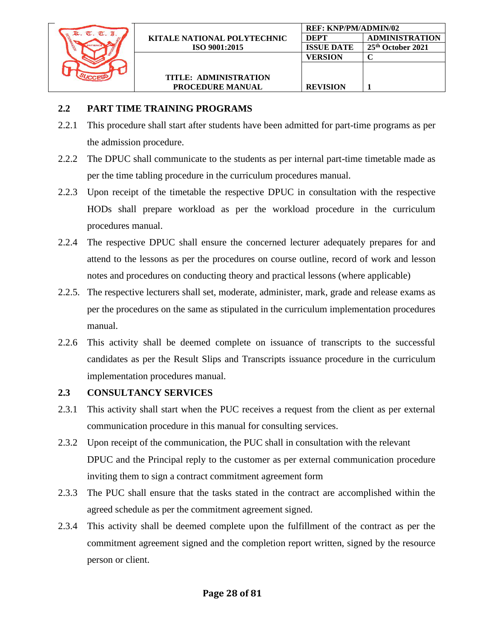

### **2.2 PART TIME TRAINING PROGRAMS**

- 2.2.1 This procedure shall start after students have been admitted for part-time programs as per the admission procedure.
- 2.2.2 The DPUC shall communicate to the students as per internal part-time timetable made as per the time tabling procedure in the curriculum procedures manual.
- 2.2.3 Upon receipt of the timetable the respective DPUC in consultation with the respective HODs shall prepare workload as per the workload procedure in the curriculum procedures manual.
- 2.2.4 The respective DPUC shall ensure the concerned lecturer adequately prepares for and attend to the lessons as per the procedures on course outline, record of work and lesson notes and procedures on conducting theory and practical lessons (where applicable)
- 2.2.5. The respective lecturers shall set, moderate, administer, mark, grade and release exams as per the procedures on the same as stipulated in the curriculum implementation procedures manual.
- 2.2.6 This activity shall be deemed complete on issuance of transcripts to the successful candidates as per the Result Slips and Transcripts issuance procedure in the curriculum implementation procedures manual.

### **2.3 CONSULTANCY SERVICES**

- 2.3.1 This activity shall start when the PUC receives a request from the client as per external communication procedure in this manual for consulting services.
- 2.3.2 Upon receipt of the communication, the PUC shall in consultation with the relevant DPUC and the Principal reply to the customer as per external communication procedure inviting them to sign a contract commitment agreement form
- 2.3.3 The PUC shall ensure that the tasks stated in the contract are accomplished within the agreed schedule as per the commitment agreement signed.
- 2.3.4 This activity shall be deemed complete upon the fulfillment of the contract as per the commitment agreement signed and the completion report written, signed by the resource person or client.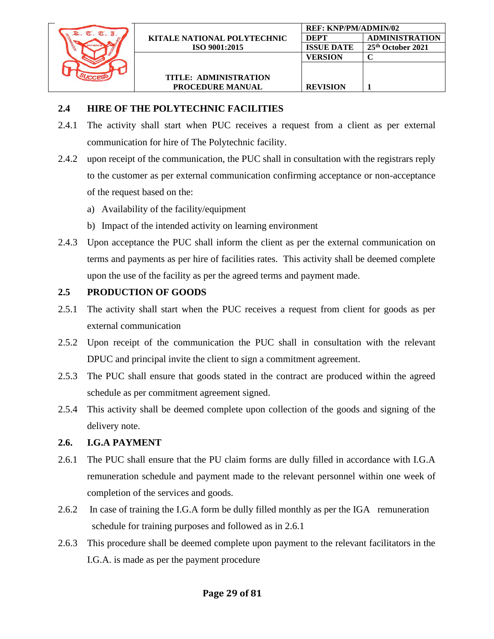

# **2.4 HIRE OF THE POLYTECHNIC FACILITIES**

- 2.4.1 The activity shall start when PUC receives a request from a client as per external communication for hire of The Polytechnic facility.
- 2.4.2 upon receipt of the communication, the PUC shall in consultation with the registrars reply to the customer as per external communication confirming acceptance or non-acceptance of the request based on the:
	- a) Availability of the facility/equipment
	- b) Impact of the intended activity on learning environment
- 2.4.3 Upon acceptance the PUC shall inform the client as per the external communication on terms and payments as per hire of facilities rates. This activity shall be deemed complete upon the use of the facility as per the agreed terms and payment made.

# **2.5 PRODUCTION OF GOODS**

- 2.5.1 The activity shall start when the PUC receives a request from client for goods as per external communication
- 2.5.2 Upon receipt of the communication the PUC shall in consultation with the relevant DPUC and principal invite the client to sign a commitment agreement.
- 2.5.3 The PUC shall ensure that goods stated in the contract are produced within the agreed schedule as per commitment agreement signed.
- 2.5.4 This activity shall be deemed complete upon collection of the goods and signing of the delivery note.

# **2.6. I.G.A PAYMENT**

- 2.6.1 The PUC shall ensure that the PU claim forms are dully filled in accordance with I.G.A remuneration schedule and payment made to the relevant personnel within one week of completion of the services and goods.
- 2.6.2 In case of training the I.G.A form be dully filled monthly as per the IGA remuneration schedule for training purposes and followed as in 2.6.1
- 2.6.3 This procedure shall be deemed complete upon payment to the relevant facilitators in the I.G.A. is made as per the payment procedure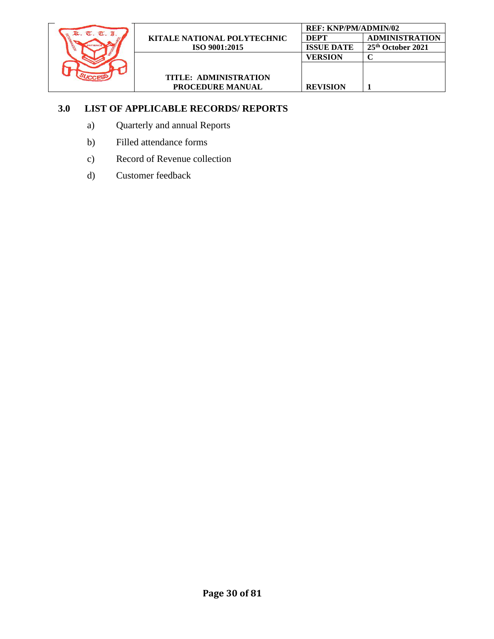

**REVISION 1**

- a) Quarterly and annual Reports
- b) Filled attendance forms
- c) Record of Revenue collection
- d) Customer feedback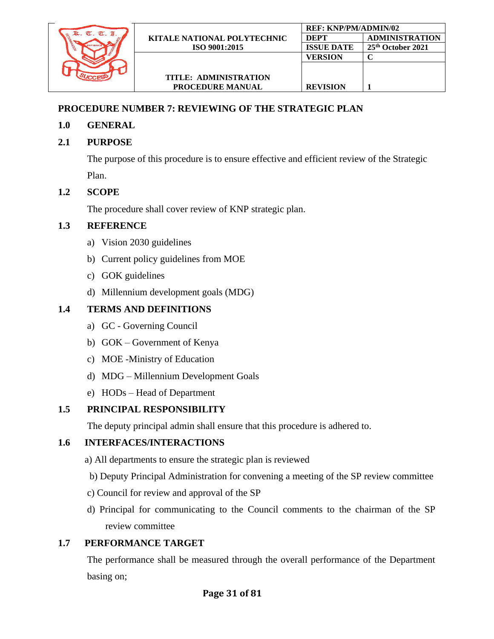

# <span id="page-30-0"></span>**PROCEDURE NUMBER 7: REVIEWING OF THE STRATEGIC PLAN**

### **1.0 GENERAL**

### **2.1 PURPOSE**

The purpose of this procedure is to ensure effective and efficient review of the Strategic Plan.

### **1.2 SCOPE**

The procedure shall cover review of KNP strategic plan.

### **1.3 REFERENCE**

- a) Vision 2030 guidelines
- b) Current policy guidelines from MOE
- c) GOK guidelines
- d) Millennium development goals (MDG)

### **1.4 TERMS AND DEFINITIONS**

- a) GC Governing Council
- b) GOK Government of Kenya
- c) MOE -Ministry of Education
- d) MDG Millennium Development Goals
- e) HODs Head of Department

### **1.5 PRINCIPAL RESPONSIBILITY**

The deputy principal admin shall ensure that this procedure is adhered to.

### **1.6 INTERFACES/INTERACTIONS**

- a) All departments to ensure the strategic plan is reviewed
- b) Deputy Principal Administration for convening a meeting of the SP review committee
- c) Council for review and approval of the SP
- d) Principal for communicating to the Council comments to the chairman of the SP review committee

### **1.7 PERFORMANCE TARGET**

The performance shall be measured through the overall performance of the Department basing on;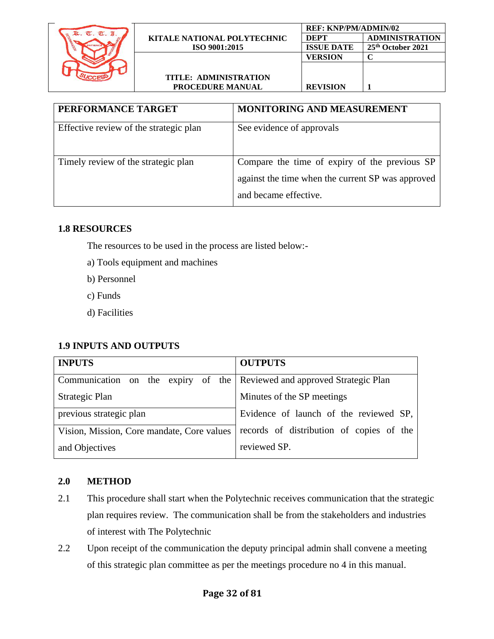

| PERFORMANCE TARGET                     | <b>MONITORING AND MEASUREMENT</b>                                                                                           |
|----------------------------------------|-----------------------------------------------------------------------------------------------------------------------------|
| Effective review of the strategic plan | See evidence of approvals                                                                                                   |
| Timely review of the strategic plan    | Compare the time of expiry of the previous SP<br>against the time when the current SP was approved<br>and became effective. |

# **1.8 RESOURCES**

The resources to be used in the process are listed below:-

- a) Tools equipment and machines
- b) Personnel
- c) Funds
- d) Facilities

### **1.9 INPUTS AND OUTPUTS**

| <b>INPUTS</b>                                                           | <b>OUTPUTS</b>                           |  |
|-------------------------------------------------------------------------|------------------------------------------|--|
| Communication on the expiry of the Reviewed and approved Strategic Plan |                                          |  |
| Strategic Plan                                                          | Minutes of the SP meetings               |  |
| previous strategic plan                                                 | Evidence of launch of the reviewed SP,   |  |
| Vision, Mission, Core mandate, Core values                              | records of distribution of copies of the |  |
| and Objectives                                                          | reviewed SP.                             |  |

### **2.0 METHOD**

- 2.1 This procedure shall start when the Polytechnic receives communication that the strategic plan requires review. The communication shall be from the stakeholders and industries of interest with The Polytechnic
- 2.2 Upon receipt of the communication the deputy principal admin shall convene a meeting of this strategic plan committee as per the meetings procedure no 4 in this manual.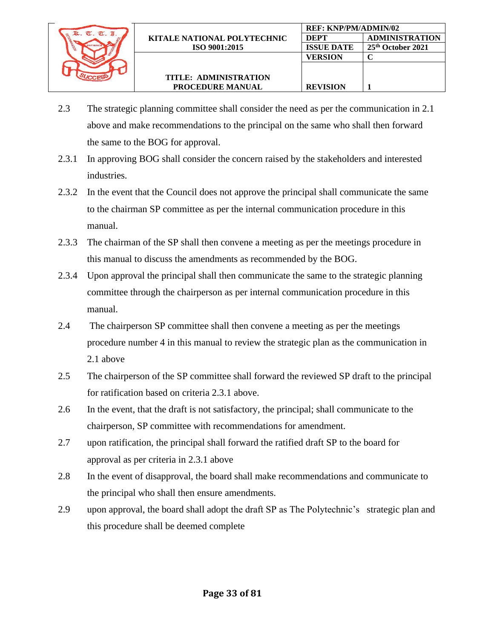

- 2.3 The strategic planning committee shall consider the need as per the communication in 2.1 above and make recommendations to the principal on the same who shall then forward the same to the BOG for approval.
- 2.3.1 In approving BOG shall consider the concern raised by the stakeholders and interested industries.
- 2.3.2 In the event that the Council does not approve the principal shall communicate the same to the chairman SP committee as per the internal communication procedure in this manual.
- 2.3.3 The chairman of the SP shall then convene a meeting as per the meetings procedure in this manual to discuss the amendments as recommended by the BOG.
- 2.3.4 Upon approval the principal shall then communicate the same to the strategic planning committee through the chairperson as per internal communication procedure in this manual.
- 2.4 The chairperson SP committee shall then convene a meeting as per the meetings procedure number 4 in this manual to review the strategic plan as the communication in 2.1 above
- 2.5 The chairperson of the SP committee shall forward the reviewed SP draft to the principal for ratification based on criteria 2.3.1 above.
- 2.6 In the event, that the draft is not satisfactory, the principal; shall communicate to the chairperson, SP committee with recommendations for amendment.
- 2.7 upon ratification, the principal shall forward the ratified draft SP to the board for approval as per criteria in 2.3.1 above
- 2.8 In the event of disapproval, the board shall make recommendations and communicate to the principal who shall then ensure amendments.
- 2.9 upon approval, the board shall adopt the draft SP as The Polytechnic's strategic plan and this procedure shall be deemed complete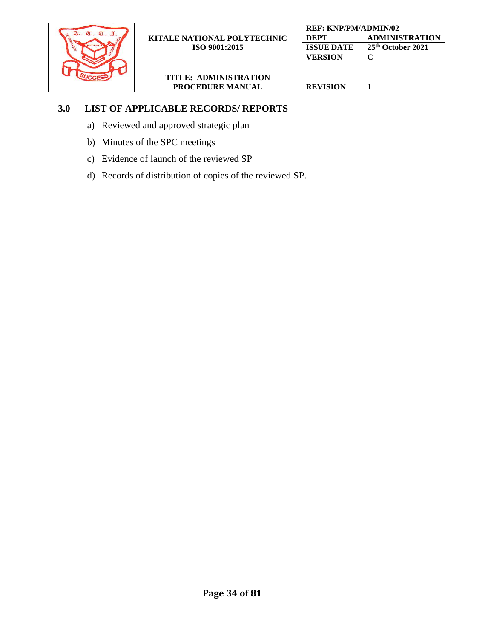

- a) Reviewed and approved strategic plan
- b) Minutes of the SPC meetings
- c) Evidence of launch of the reviewed SP
- d) Records of distribution of copies of the reviewed SP.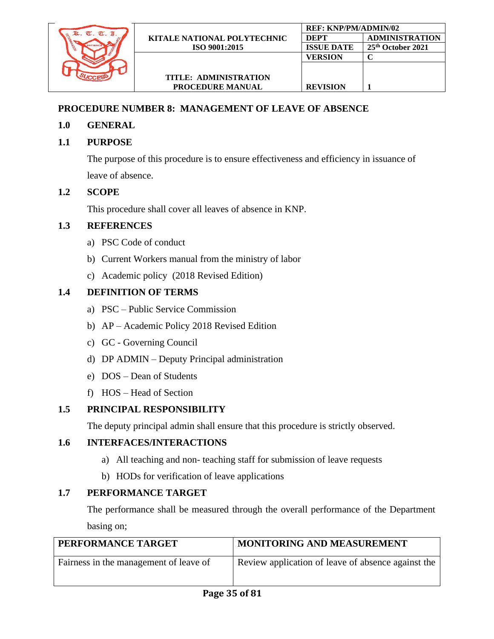

### <span id="page-34-0"></span>**PROCEDURE NUMBER 8: MANAGEMENT OF LEAVE OF ABSENCE**

- **1.0 GENERAL**
- **1.1 PURPOSE**

The purpose of this procedure is to ensure effectiveness and efficiency in issuance of leave of absence.

### **1.2 SCOPE**

This procedure shall cover all leaves of absence in KNP.

### **1.3 REFERENCES**

- a) PSC Code of conduct
- b) Current Workers manual from the ministry of labor
- c) Academic policy (2018 Revised Edition)

### **1.4 DEFINITION OF TERMS**

- a) PSC Public Service Commission
- b) AP Academic Policy 2018 Revised Edition
- c) GC Governing Council
- d) DP ADMIN Deputy Principal administration
- e) DOS Dean of Students
- f) HOS Head of Section

#### **1.5 PRINCIPAL RESPONSIBILITY**

The deputy principal admin shall ensure that this procedure is strictly observed.

#### **1.6 INTERFACES/INTERACTIONS**

- a) All teaching and non- teaching staff for submission of leave requests
- b) HODs for verification of leave applications

### **1.7 PERFORMANCE TARGET**

The performance shall be measured through the overall performance of the Department basing on;

| PERFORMANCE TARGET                     | <b>MONITORING AND MEASUREMENT</b>                  |
|----------------------------------------|----------------------------------------------------|
| Fairness in the management of leave of | Review application of leave of absence against the |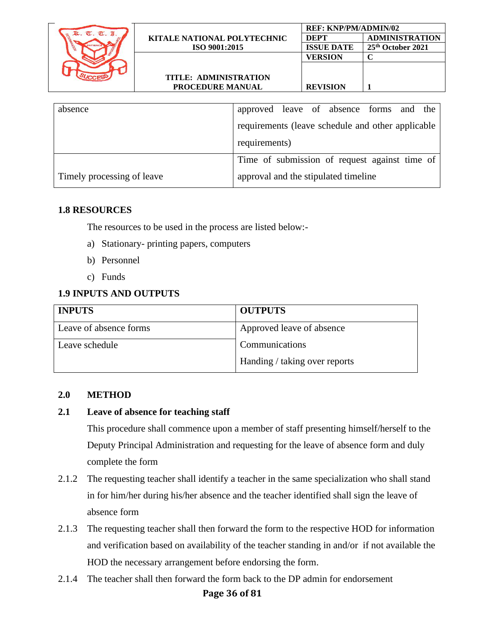|                                    | <b>REF: KNP/PM/ADMIN/02</b> |                       |
|------------------------------------|-----------------------------|-----------------------|
| <b>KITALE NATIONAL POLYTECHNIC</b> | DEPT                        | <b>ADMINISTRATION</b> |
| ISO 9001:2015                      | <b>ISSUE DATE</b>           | 25th October 2021     |
|                                    | VERSION                     |                       |
|                                    |                             |                       |
| <b>TITLE: ADMINISTRATION</b>       |                             |                       |
| <b>PROCEDURE MANUAL</b>            | <b>REVISION</b>             |                       |
|                                    |                             |                       |

| absence                    | approved leave of absence forms and the           |
|----------------------------|---------------------------------------------------|
|                            | requirements (leave schedule and other applicable |
|                            | requirements)                                     |
|                            | Time of submission of request against time of     |
| Timely processing of leave | approval and the stipulated timeline              |

#### **1.8 RESOURCES**

The resources to be used in the process are listed below:-

- a) Stationary- printing papers, computers
- b) Personnel
- c) Funds

### **1.9 INPUTS AND OUTPUTS**

| <b>INPUTS</b>          | <b>OUTPUTS</b>                |
|------------------------|-------------------------------|
| Leave of absence forms | Approved leave of absence     |
| Leave schedule         | Communications                |
|                        | Handing / taking over reports |

#### **2.0 METHOD**

#### **2.1 Leave of absence for teaching staff**

This procedure shall commence upon a member of staff presenting himself/herself to the Deputy Principal Administration and requesting for the leave of absence form and duly complete the form

- 2.1.2 The requesting teacher shall identify a teacher in the same specialization who shall stand in for him/her during his/her absence and the teacher identified shall sign the leave of absence form
- 2.1.3 The requesting teacher shall then forward the form to the respective HOD for information and verification based on availability of the teacher standing in and/or if not available the HOD the necessary arrangement before endorsing the form.
- 2.1.4 The teacher shall then forward the form back to the DP admin for endorsement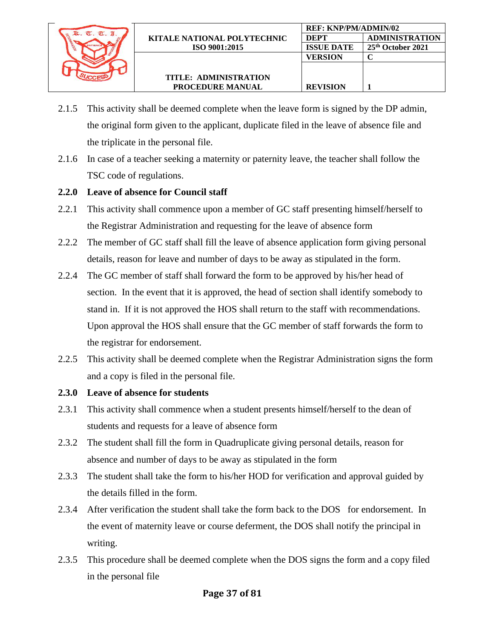

2.1.5 This activity shall be deemed complete when the leave form is signed by the DP admin, the original form given to the applicant, duplicate filed in the leave of absence file and the triplicate in the personal file.

**REF: KNP/PM/ADMIN/02**

**VERSION C**

**REVISION 1**

**DEPT ADMINISTRATION ISSUE DATE 25th October 2021**

2.1.6 In case of a teacher seeking a maternity or paternity leave, the teacher shall follow the TSC code of regulations.

### **2.2.0 Leave of absence for Council staff**

- 2.2.1 This activity shall commence upon a member of GC staff presenting himself/herself to the Registrar Administration and requesting for the leave of absence form
- 2.2.2 The member of GC staff shall fill the leave of absence application form giving personal details, reason for leave and number of days to be away as stipulated in the form.
- 2.2.4 The GC member of staff shall forward the form to be approved by his/her head of section. In the event that it is approved, the head of section shall identify somebody to stand in. If it is not approved the HOS shall return to the staff with recommendations. Upon approval the HOS shall ensure that the GC member of staff forwards the form to the registrar for endorsement.
- 2.2.5 This activity shall be deemed complete when the Registrar Administration signs the form and a copy is filed in the personal file.
- **2.3.0 Leave of absence for students**
- 2.3.1 This activity shall commence when a student presents himself/herself to the dean of students and requests for a leave of absence form
- 2.3.2 The student shall fill the form in Quadruplicate giving personal details, reason for absence and number of days to be away as stipulated in the form
- 2.3.3 The student shall take the form to his/her HOD for verification and approval guided by the details filled in the form.
- 2.3.4 After verification the student shall take the form back to the DOS for endorsement. In the event of maternity leave or course deferment, the DOS shall notify the principal in writing.
- 2.3.5 This procedure shall be deemed complete when the DOS signs the form and a copy filed in the personal file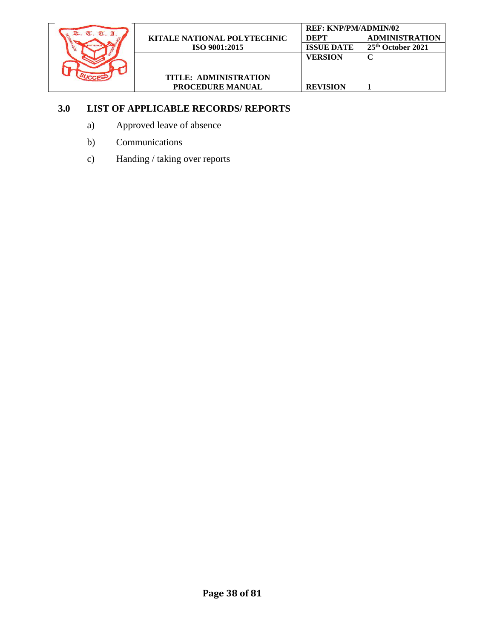

## **3.0 LIST OF APPLICABLE RECORDS/ REPORTS**

- a) Approved leave of absence
- b) Communications
- c) Handing / taking over reports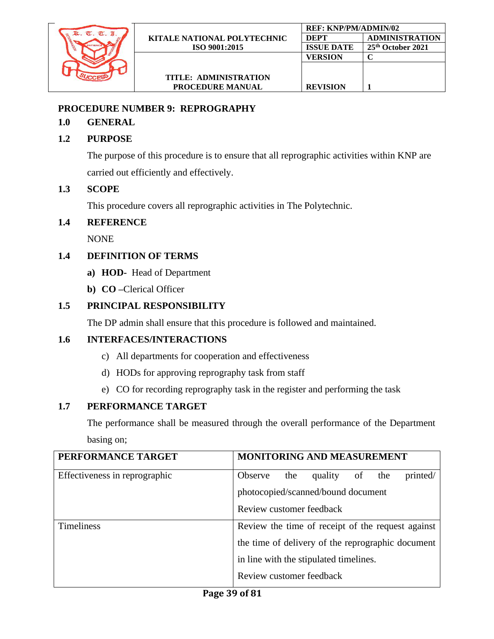

## **PROCEDURE NUMBER 9: REPROGRAPHY**

### **1.0 GENERAL**

## **1.2 PURPOSE**

The purpose of this procedure is to ensure that all reprographic activities within KNP are carried out efficiently and effectively.

### **1.3 SCOPE**

This procedure covers all reprographic activities in The Polytechnic.

#### **1.4 REFERENCE**

NONE

## **1.4 DEFINITION OF TERMS**

- **a) HOD-** Head of Department
- **b) CO –**Clerical Officer

## **1.5 PRINCIPAL RESPONSIBILITY**

The DP admin shall ensure that this procedure is followed and maintained.

## **1.6 INTERFACES/INTERACTIONS**

- c) All departments for cooperation and effectiveness
- d) HODs for approving reprography task from staff
- e) CO for recording reprography task in the register and performing the task

## **1.7 PERFORMANCE TARGET**

The performance shall be measured through the overall performance of the Department basing on;

| PERFORMANCE TARGET            | <b>MONITORING AND MEASUREMENT</b>                  |
|-------------------------------|----------------------------------------------------|
| Effectiveness in reprographic | printed/<br>Observe<br>the<br>quality<br>the<br>of |
|                               | photocopied/scanned/bound document                 |
|                               | Review customer feedback                           |
| <b>Timeliness</b>             | Review the time of receipt of the request against  |
|                               | the time of delivery of the reprographic document  |
|                               | in line with the stipulated timelines.             |
|                               | Review customer feedback                           |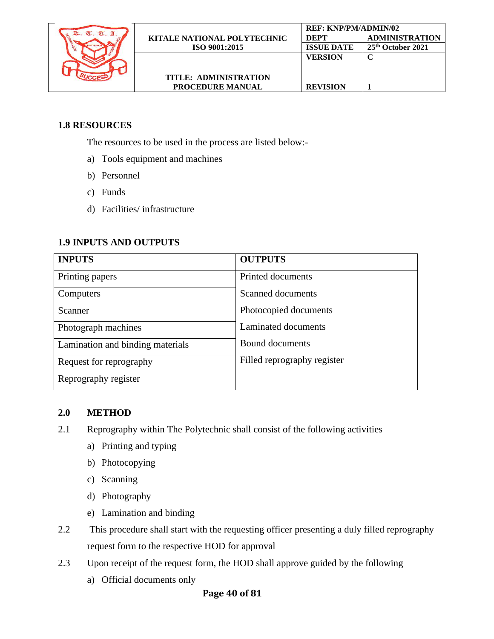

## **1.8 RESOURCES**

The resources to be used in the process are listed below:-

- a) Tools equipment and machines
- b) Personnel
- c) Funds
- d) Facilities/ infrastructure

#### **1.9 INPUTS AND OUTPUTS**

| <b>INPUTS</b>                    | <b>OUTPUTS</b>              |
|----------------------------------|-----------------------------|
| Printing papers                  | Printed documents           |
| Computers                        | Scanned documents           |
| Scanner                          | Photocopied documents       |
| Photograph machines              | Laminated documents         |
| Lamination and binding materials | Bound documents             |
| Request for reprography          | Filled reprography register |
| Reprography register             |                             |

#### **2.0 METHOD**

- 2.1 Reprography within The Polytechnic shall consist of the following activities
	- a) Printing and typing
	- b) Photocopying
	- c) Scanning
	- d) Photography
	- e) Lamination and binding
- 2.2 This procedure shall start with the requesting officer presenting a duly filled reprography request form to the respective HOD for approval
- 2.3 Upon receipt of the request form, the HOD shall approve guided by the following
	- a) Official documents only

## **Page 40 of 81**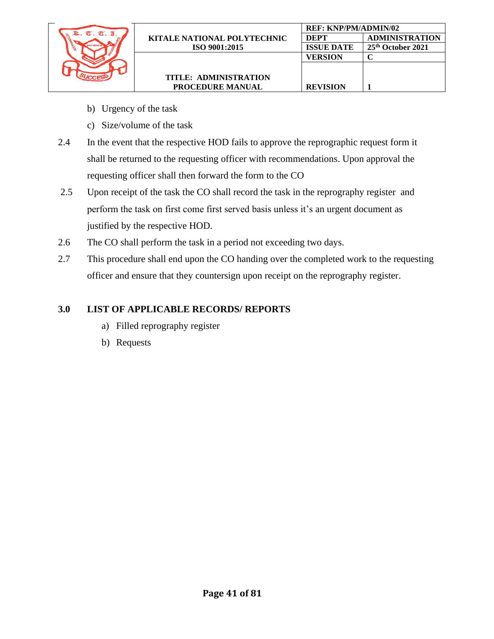

- b) Urgency of the task
- c) Size/volume of the task
- 2.4 In the event that the respective HOD fails to approve the reprographic request form it shall be returned to the requesting officer with recommendations. Upon approval the requesting officer shall then forward the form to the CO
- 2.5 Upon receipt of the task the CO shall record the task in the reprography register and perform the task on first come first served basis unless it's an urgent document as justified by the respective HOD.
- 2.6 The CO shall perform the task in a period not exceeding two days.
- 2.7 This procedure shall end upon the CO handing over the completed work to the requesting officer and ensure that they countersign upon receipt on the reprography register.

## **3.0 LIST OF APPLICABLE RECORDS/ REPORTS**

- a) Filled reprography register
- b) Requests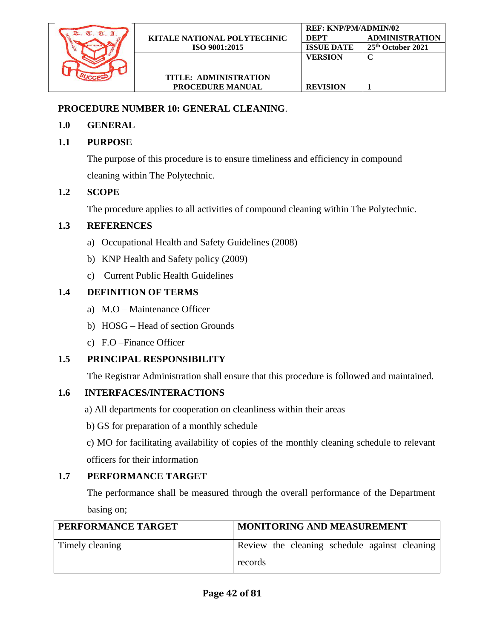

#### **PROCEDURE NUMBER 10: GENERAL CLEANING**.

#### **1.0 GENERAL**

## **1.1 PURPOSE**

The purpose of this procedure is to ensure timeliness and efficiency in compound cleaning within The Polytechnic.

### **1.2 SCOPE**

The procedure applies to all activities of compound cleaning within The Polytechnic.

### **1.3 REFERENCES**

- a) Occupational Health and Safety Guidelines (2008)
- b) KNP Health and Safety policy (2009)
- c) Current Public Health Guidelines

## **1.4 DEFINITION OF TERMS**

- a) M.O Maintenance Officer
- b) HOSG Head of section Grounds
- c) F.O –Finance Officer

## **1.5 PRINCIPAL RESPONSIBILITY**

The Registrar Administration shall ensure that this procedure is followed and maintained.

## **1.6 INTERFACES/INTERACTIONS**

- a) All departments for cooperation on cleanliness within their areas
- b) GS for preparation of a monthly schedule

c) MO for facilitating availability of copies of the monthly cleaning schedule to relevant officers for their information

#### **1.7 PERFORMANCE TARGET**

The performance shall be measured through the overall performance of the Department basing on;

| PERFORMANCE TARGET | <b>MONITORING AND MEASUREMENT</b>             |
|--------------------|-----------------------------------------------|
| Timely cleaning    | Review the cleaning schedule against cleaning |
|                    | records                                       |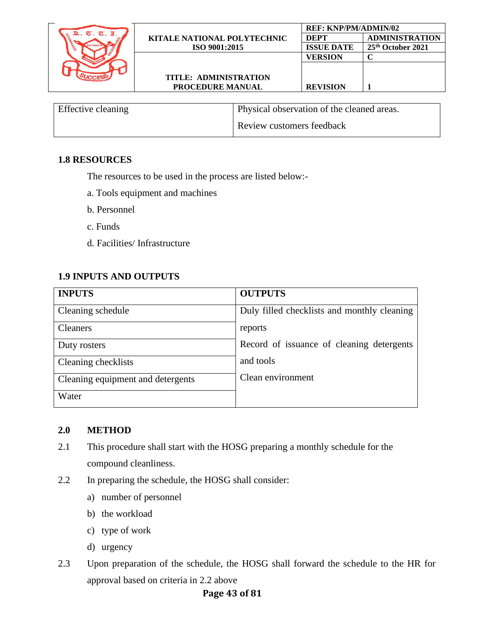|            |                                    | <b>REF: KNP/PM/ADMIN/02</b> |                               |
|------------|------------------------------------|-----------------------------|-------------------------------|
| $\sigma$ . | <b>KITALE NATIONAL POLYTECHNIC</b> | <b>DEPT</b>                 | <b>ADMINISTRATION</b>         |
|            | ISO 9001:2015                      | <b>ISSUE DATE</b>           | 25 <sup>th</sup> October 2021 |
|            |                                    | <b>VERSION</b>              |                               |
|            |                                    |                             |                               |
|            | TITLE: ADMINISTRATION              |                             |                               |
|            | <b>PROCEDURE MANUAL</b>            | <b>REVISION</b>             |                               |

| Effective cleaning | Physical observation of the cleaned areas. |
|--------------------|--------------------------------------------|
|                    | Review customers feedback                  |

#### **1.8 RESOURCES**

The resources to be used in the process are listed below:-

- a. Tools equipment and machines
- b. Personnel
- c. Funds
- d. Facilities/ Infrastructure

### **1.9 INPUTS AND OUTPUTS**

| <b>INPUTS</b>                     | <b>OUTPUTS</b>                              |
|-----------------------------------|---------------------------------------------|
| Cleaning schedule                 | Duly filled checklists and monthly cleaning |
| <b>Cleaners</b>                   | reports                                     |
| Duty rosters                      | Record of issuance of cleaning detergents   |
| Cleaning checklists               | and tools                                   |
| Cleaning equipment and detergents | Clean environment                           |
| Water                             |                                             |

#### **2.0 METHOD**

- 2.1 This procedure shall start with the HOSG preparing a monthly schedule for the compound cleanliness.
- 2.2 In preparing the schedule, the HOSG shall consider:
	- a) number of personnel
	- b) the workload
	- c) type of work
	- d) urgency
- 2.3 Upon preparation of the schedule, the HOSG shall forward the schedule to the HR for approval based on criteria in 2.2 above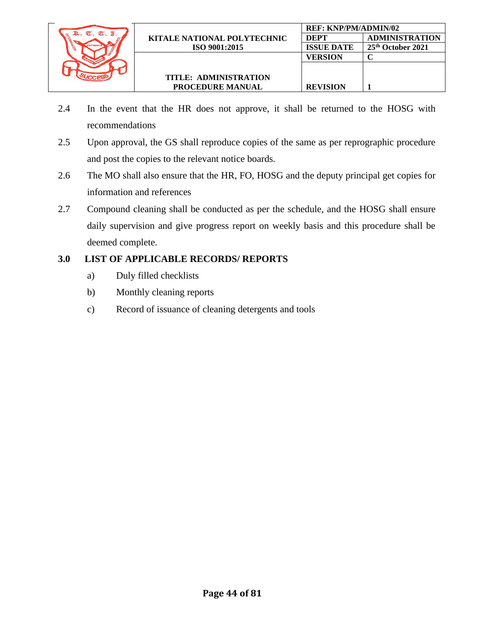

- 2.4 In the event that the HR does not approve, it shall be returned to the HOSG with recommendations
- 2.5 Upon approval, the GS shall reproduce copies of the same as per reprographic procedure and post the copies to the relevant notice boards.
- 2.6 The MO shall also ensure that the HR, FO, HOSG and the deputy principal get copies for information and references
- 2.7 Compound cleaning shall be conducted as per the schedule, and the HOSG shall ensure daily supervision and give progress report on weekly basis and this procedure shall be deemed complete.

## **3.0 LIST OF APPLICABLE RECORDS/ REPORTS**

- a) Duly filled checklists
- b) Monthly cleaning reports
- c) Record of issuance of cleaning detergents and tools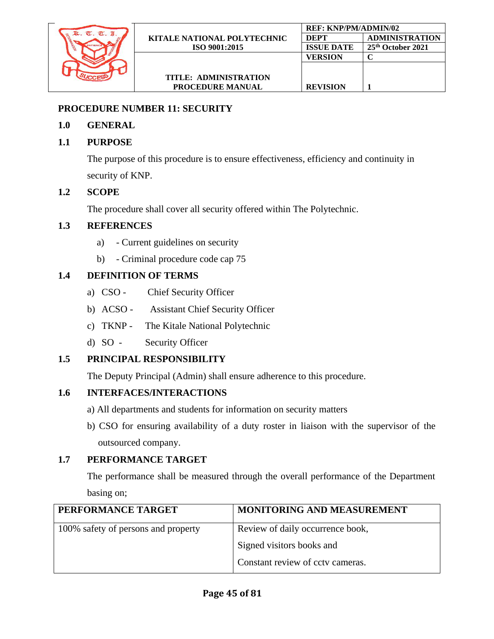

## **PROCEDURE NUMBER 11: SECURITY**

## **1.0 GENERAL**

## **1.1 PURPOSE**

The purpose of this procedure is to ensure effectiveness, efficiency and continuity in security of KNP.

## **1.2 SCOPE**

The procedure shall cover all security offered within The Polytechnic.

### **1.3 REFERENCES**

- a) Current guidelines on security
- b) Criminal procedure code cap 75

## **1.4 DEFINITION OF TERMS**

- a) CSO Chief Security Officer
- b) ACSO Assistant Chief Security Officer
- c) TKNP The Kitale National Polytechnic
- d) SO Security Officer

## **1.5 PRINCIPAL RESPONSIBILITY**

The Deputy Principal (Admin) shall ensure adherence to this procedure.

## **1.6 INTERFACES/INTERACTIONS**

- a) All departments and students for information on security matters
- b) CSO for ensuring availability of a duty roster in liaison with the supervisor of the outsourced company.

## **1.7 PERFORMANCE TARGET**

The performance shall be measured through the overall performance of the Department basing on;

| PERFORMANCE TARGET                  | MONITORING AND MEASUREMENT       |
|-------------------------------------|----------------------------------|
| 100% safety of persons and property | Review of daily occurrence book, |
|                                     | Signed visitors books and        |
|                                     | Constant review of cctv cameras. |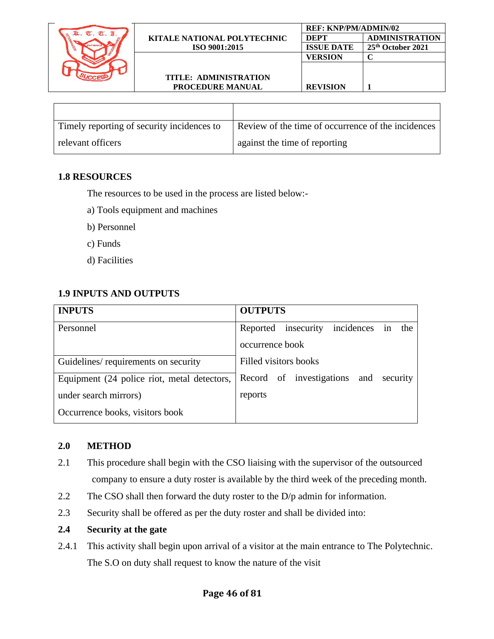

| Timely reporting of security incidences to | Review of the time of occurrence of the incidences |
|--------------------------------------------|----------------------------------------------------|
| relevant officers                          | against the time of reporting                      |

#### **1.8 RESOURCES**

The resources to be used in the process are listed below:-

- a) Tools equipment and machines
- b) Personnel
- c) Funds
- d) Facilities

## **1.9 INPUTS AND OUTPUTS**

| <b>INPUTS</b>                               | <b>OUTPUTS</b>                                 |
|---------------------------------------------|------------------------------------------------|
| Personnel                                   | insecurity incidences<br>Reported<br>the<br>in |
|                                             | occurrence book                                |
| Guidelines/requirements on security         | Filled visitors books                          |
| Equipment (24 police riot, metal detectors, | Record of investigations and security          |
| under search mirrors)                       | reports                                        |
| Occurrence books, visitors book             |                                                |

#### **2.0 METHOD**

- 2.1 This procedure shall begin with the CSO liaising with the supervisor of the outsourced company to ensure a duty roster is available by the third week of the preceding month.
- 2.2 The CSO shall then forward the duty roster to the D/p admin for information.
- 2.3 Security shall be offered as per the duty roster and shall be divided into:

#### **2.4 Security at the gate**

2.4.1 This activity shall begin upon arrival of a visitor at the main entrance to The Polytechnic. The S.O on duty shall request to know the nature of the visit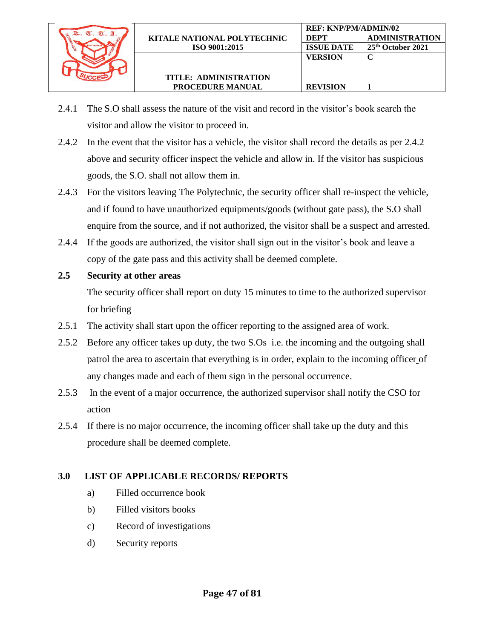

- 2.4.1 The S.O shall assess the nature of the visit and record in the visitor's book search the visitor and allow the visitor to proceed in.
- 2.4.2 In the event that the visitor has a vehicle, the visitor shall record the details as per 2.4.2 above and security officer inspect the vehicle and allow in. If the visitor has suspicious goods, the S.O. shall not allow them in.
- 2.4.3 For the visitors leaving The Polytechnic, the security officer shall re-inspect the vehicle, and if found to have unauthorized equipments/goods (without gate pass), the S.O shall enquire from the source, and if not authorized, the visitor shall be a suspect and arrested.
- 2.4.4 If the goods are authorized, the visitor shall sign out in the visitor's book and leave a copy of the gate pass and this activity shall be deemed complete.
- **2.5 Security at other areas**

The security officer shall report on duty 15 minutes to time to the authorized supervisor for briefing

- 2.5.1 The activity shall start upon the officer reporting to the assigned area of work.
- 2.5.2 Before any officer takes up duty, the two S.Os i.e. the incoming and the outgoing shall patrol the area to ascertain that everything is in order, explain to the incoming officer of any changes made and each of them sign in the personal occurrence.
- 2.5.3 In the event of a major occurrence, the authorized supervisor shall notify the CSO for action
- 2.5.4 If there is no major occurrence, the incoming officer shall take up the duty and this procedure shall be deemed complete.

# **3.0 LIST OF APPLICABLE RECORDS/ REPORTS**

- a) Filled occurrence book
- b) Filled visitors books
- c) Record of investigations
- d) Security reports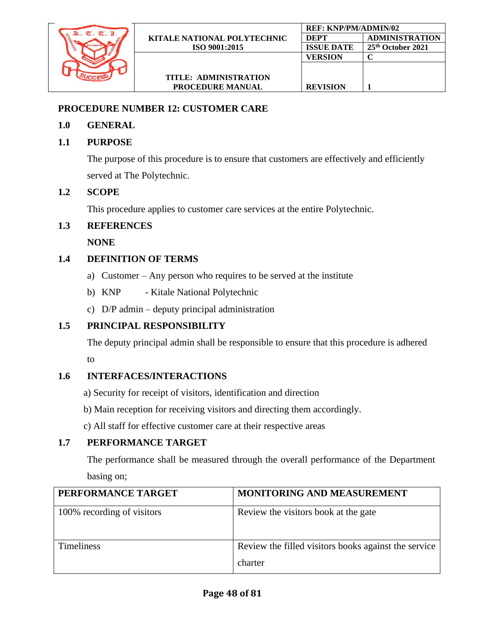

## **PROCEDURE NUMBER 12: CUSTOMER CARE**

## **1.0 GENERAL**

## **1.1 PURPOSE**

The purpose of this procedure is to ensure that customers are effectively and efficiently served at The Polytechnic.

### **1.2 SCOPE**

This procedure applies to customer care services at the entire Polytechnic.

### **1.3 REFERENCES**

 **NONE**

## **1.4 DEFINITION OF TERMS**

- a) Customer Any person who requires to be served at the institute
- b) KNP Kitale National Polytechnic
- c) D/P admin deputy principal administration

## **1.5 PRINCIPAL RESPONSIBILITY**

The deputy principal admin shall be responsible to ensure that this procedure is adhered to

## **1.6 INTERFACES/INTERACTIONS**

- a) Security for receipt of visitors, identification and direction
- b) Main reception for receiving visitors and directing them accordingly.
- c) All staff for effective customer care at their respective areas

## **1.7 PERFORMANCE TARGET**

The performance shall be measured through the overall performance of the Department basing on;

| PERFORMANCE TARGET         | <b>MONITORING AND MEASUREMENT</b>                               |
|----------------------------|-----------------------------------------------------------------|
| 100% recording of visitors | Review the visitors book at the gate                            |
| <b>Timeliness</b>          | Review the filled visitors books against the service<br>charter |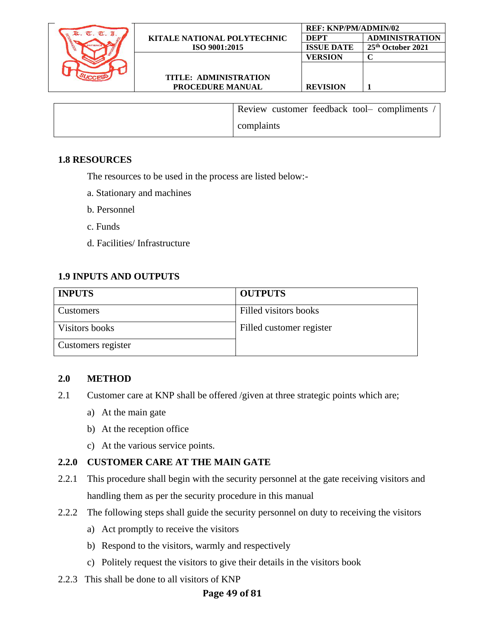

| Review customer feedback tool- compliments |
|--------------------------------------------|
| complaints                                 |

#### **1.8 RESOURCES**

The resources to be used in the process are listed below:-

- a. Stationary and machines
- b. Personnel
- c. Funds
- d. Facilities/ Infrastructure

#### **1.9 INPUTS AND OUTPUTS**

| <b>INPUTS</b>      | <b>OUTPUTS</b>           |
|--------------------|--------------------------|
| <b>Customers</b>   | Filled visitors books    |
| Visitors books     | Filled customer register |
| Customers register |                          |

#### **2.0 METHOD**

- 2.1 Customer care at KNP shall be offered /given at three strategic points which are;
	- a) At the main gate
	- b) At the reception office
	- c) At the various service points.

#### **2.2.0 CUSTOMER CARE AT THE MAIN GATE**

- 2.2.1 This procedure shall begin with the security personnel at the gate receiving visitors and handling them as per the security procedure in this manual
- 2.2.2 The following steps shall guide the security personnel on duty to receiving the visitors
	- a) Act promptly to receive the visitors
	- b) Respond to the visitors, warmly and respectively
	- c) Politely request the visitors to give their details in the visitors book
- 2.2.3 This shall be done to all visitors of KNP

#### **Page 49 of 81**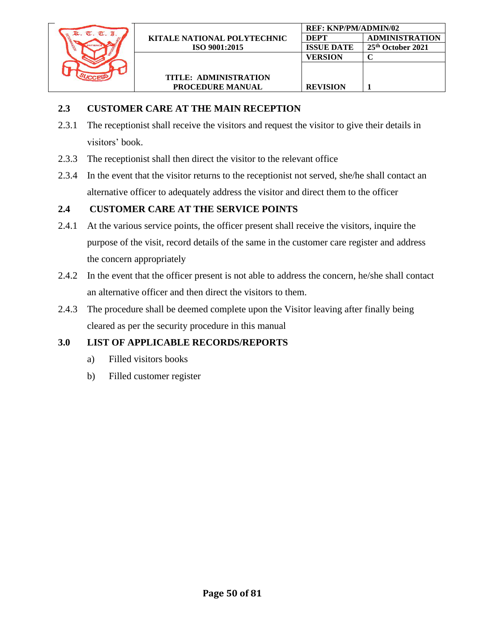

## **2.3 CUSTOMER CARE AT THE MAIN RECEPTION**

- 2.3.1 The receptionist shall receive the visitors and request the visitor to give their details in visitors' book.
- 2.3.3 The receptionist shall then direct the visitor to the relevant office
- 2.3.4 In the event that the visitor returns to the receptionist not served, she/he shall contact an alternative officer to adequately address the visitor and direct them to the officer

# **2.4 CUSTOMER CARE AT THE SERVICE POINTS**

- 2.4.1 At the various service points, the officer present shall receive the visitors, inquire the purpose of the visit, record details of the same in the customer care register and address the concern appropriately
- 2.4.2 In the event that the officer present is not able to address the concern, he/she shall contact an alternative officer and then direct the visitors to them.
- 2.4.3 The procedure shall be deemed complete upon the Visitor leaving after finally being cleared as per the security procedure in this manual

# **3.0 LIST OF APPLICABLE RECORDS/REPORTS**

- a) Filled visitors books
- b) Filled customer register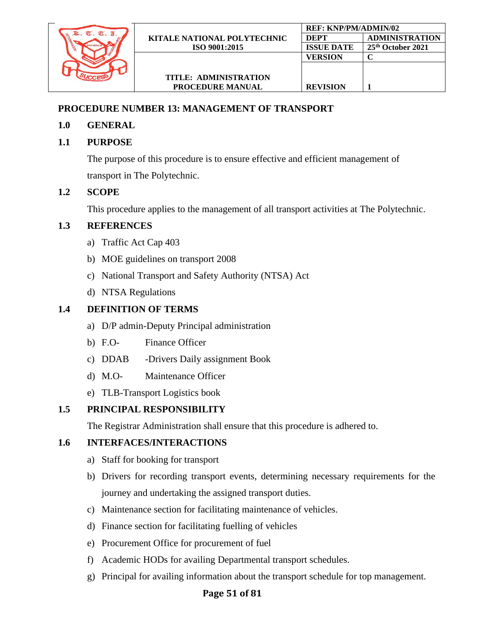

## **PROCEDURE NUMBER 13: MANAGEMENT OF TRANSPORT**

## **1.0 GENERAL**

# **1.1 PURPOSE**

The purpose of this procedure is to ensure effective and efficient management of transport in The Polytechnic.

# **1.2 SCOPE**

This procedure applies to the management of all transport activities at The Polytechnic.

# **1.3 REFERENCES**

- a) Traffic Act Cap 403
- b) MOE guidelines on transport 2008
- c) National Transport and Safety Authority (NTSA) Act
- d) NTSA Regulations

# **1.4 DEFINITION OF TERMS**

- a) D/P admin-Deputy Principal administration
- b) F.O- Finance Officer
- c) DDAB -Drivers Daily assignment Book
- d) M.O- Maintenance Officer
- e) TLB-Transport Logistics book

# **1.5 PRINCIPAL RESPONSIBILITY**

The Registrar Administration shall ensure that this procedure is adhered to.

# **1.6 INTERFACES/INTERACTIONS**

- a) Staff for booking for transport
- b) Drivers for recording transport events, determining necessary requirements for the journey and undertaking the assigned transport duties.
- c) Maintenance section for facilitating maintenance of vehicles.
- d) Finance section for facilitating fuelling of vehicles
- e) Procurement Office for procurement of fuel
- f) Academic HODs for availing Departmental transport schedules.
- g) Principal for availing information about the transport schedule for top management.

# **Page 51 of 81**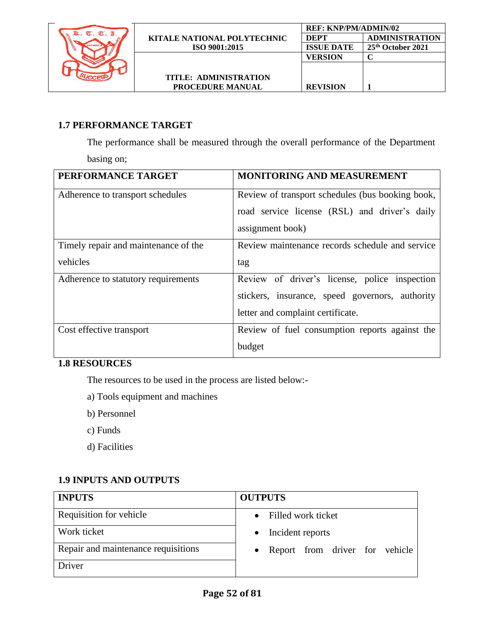

# **1.7 PERFORMANCE TARGET**

The performance shall be measured through the overall performance of the Department basing on;

| PERFORMANCE TARGET                   | MONITORING AND MEASUREMENT                       |
|--------------------------------------|--------------------------------------------------|
| Adherence to transport schedules     | Review of transport schedules (bus booking book, |
|                                      | road service license (RSL) and driver's daily    |
|                                      | assignment book)                                 |
| Timely repair and maintenance of the | Review maintenance records schedule and service  |
| vehicles                             | tag                                              |
| Adherence to statutory requirements  | Review of driver's license, police inspection    |
|                                      | stickers, insurance, speed governors, authority  |
|                                      | letter and complaint certificate.                |
| Cost effective transport             | Review of fuel consumption reports against the   |
|                                      | budget                                           |

# **1.8 RESOURCES**

The resources to be used in the process are listed below:-

- a) Tools equipment and machines
- b) Personnel
- c) Funds
- d) Facilities

# **1.9 INPUTS AND OUTPUTS**

| <b>INPUTS</b>                       | <b>OUTPUTS</b>                   |
|-------------------------------------|----------------------------------|
| Requisition for vehicle             | • Filled work ticket             |
| Work ticket                         | • Incident reports               |
| Repair and maintenance requisitions | • Report from driver for vehicle |
| Driver                              |                                  |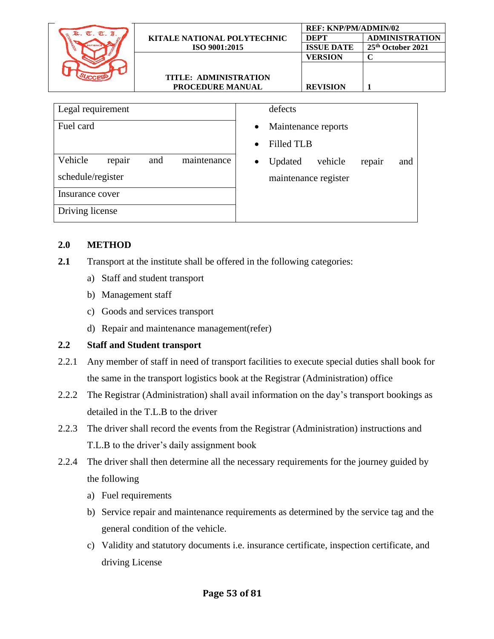|                                 |                                    |                                | <b>REF: KNP/PM/ADMIN/02</b> |                       |  |
|---------------------------------|------------------------------------|--------------------------------|-----------------------------|-----------------------|--|
| k. T. T. I.                     | <b>KITALE NATIONAL POLYTECHNIC</b> |                                | DEPT                        | <b>ADMINISTRATION</b> |  |
| <b>INDIA</b><br><b>PATIENCI</b> | ISO 9001:2015                      |                                | <b>ISSUE DATE</b>           | 25th October 2021     |  |
|                                 |                                    |                                | <b>VERSION</b>              | $\mathbf C$           |  |
|                                 | TITLE: ADMINISTRATION              |                                |                             |                       |  |
|                                 | PROCEDURE MANUAL                   |                                | <b>REVISION</b>             | 1                     |  |
|                                 |                                    |                                |                             |                       |  |
| Legal requirement               |                                    | defects                        |                             |                       |  |
| Fuel card                       |                                    | $\bullet$                      | Maintenance reports         |                       |  |
|                                 |                                    | <b>Filled TLB</b><br>$\bullet$ |                             |                       |  |
| Vehicle<br>repair               | maintenance<br>and                 | Updated<br>٠                   | vehicle                     | repair<br>and         |  |
| schedule/register               |                                    |                                | maintenance register        |                       |  |

Insurance cover

Driving license

#### **2.0 METHOD**

- **2.1** Transport at the institute shall be offered in the following categories:
	- a) Staff and student transport
	- b) Management staff
	- c) Goods and services transport
	- d) Repair and maintenance management(refer)

## **2.2 Staff and Student transport**

- 2.2.1 Any member of staff in need of transport facilities to execute special duties shall book for the same in the transport logistics book at the Registrar (Administration) office
- 2.2.2 The Registrar (Administration) shall avail information on the day's transport bookings as detailed in the T.L.B to the driver
- 2.2.3 The driver shall record the events from the Registrar (Administration) instructions and T.L.B to the driver's daily assignment book
- 2.2.4 The driver shall then determine all the necessary requirements for the journey guided by the following
	- a) Fuel requirements
	- b) Service repair and maintenance requirements as determined by the service tag and the general condition of the vehicle.
	- c) Validity and statutory documents i.e. insurance certificate, inspection certificate, and driving License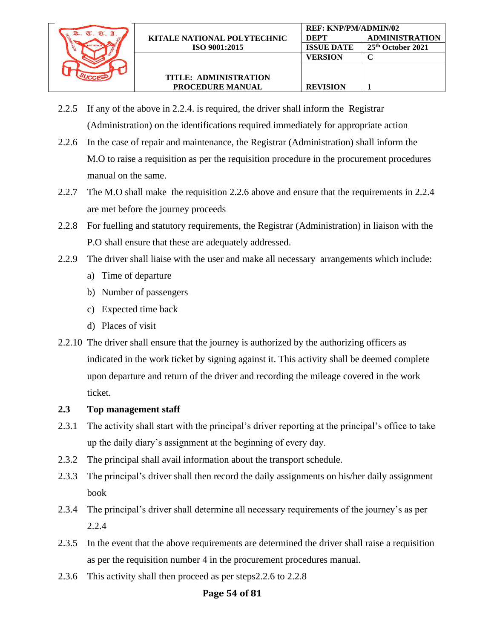

**REVISION 1**

- 2.2.5 If any of the above in 2.2.4. is required, the driver shall inform the Registrar (Administration) on the identifications required immediately for appropriate action
- 2.2.6 In the case of repair and maintenance, the Registrar (Administration) shall inform the M.O to raise a requisition as per the requisition procedure in the procurement procedures manual on the same.
- 2.2.7 The M.O shall make the requisition 2.2.6 above and ensure that the requirements in 2.2.4 are met before the journey proceeds
- 2.2.8 For fuelling and statutory requirements, the Registrar (Administration) in liaison with the P.O shall ensure that these are adequately addressed.
- 2.2.9 The driver shall liaise with the user and make all necessary arrangements which include:
	- a) Time of departure
	- b) Number of passengers
	- c) Expected time back
	- d) Places of visit
- 2.2.10 The driver shall ensure that the journey is authorized by the authorizing officers as indicated in the work ticket by signing against it. This activity shall be deemed complete upon departure and return of the driver and recording the mileage covered in the work ticket.

#### **2.3 Top management staff**

- 2.3.1 The activity shall start with the principal's driver reporting at the principal's office to take up the daily diary's assignment at the beginning of every day.
- 2.3.2 The principal shall avail information about the transport schedule.
- 2.3.3 The principal's driver shall then record the daily assignments on his/her daily assignment book
- 2.3.4 The principal's driver shall determine all necessary requirements of the journey's as per 2.2.4
- 2.3.5 In the event that the above requirements are determined the driver shall raise a requisition as per the requisition number 4 in the procurement procedures manual.
- 2.3.6 This activity shall then proceed as per steps2.2.6 to 2.2.8

#### **Page 54 of 81**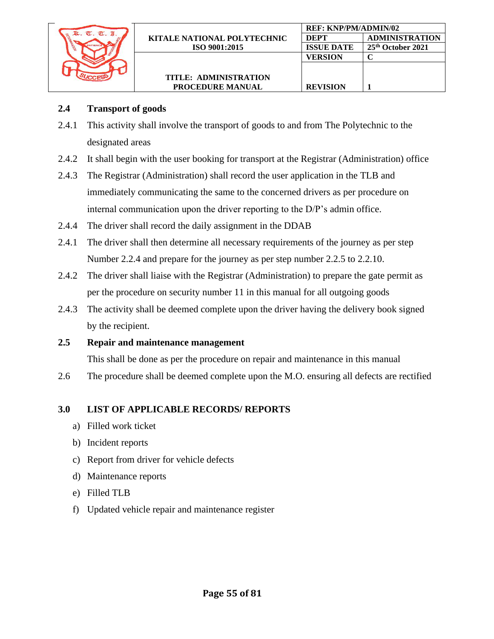

- 2.4.1 This activity shall involve the transport of goods to and from The Polytechnic to the designated areas
- 2.4.2 It shall begin with the user booking for transport at the Registrar (Administration) office

**REF: KNP/PM/ADMIN/02**

**VERSION C**

**REVISION 1**

**DEPT ADMINISTRATION ISSUE DATE 25th October 2021**

- 2.4.3 The Registrar (Administration) shall record the user application in the TLB and immediately communicating the same to the concerned drivers as per procedure on internal communication upon the driver reporting to the D/P's admin office.
- 2.4.4 The driver shall record the daily assignment in the DDAB
- 2.4.1 The driver shall then determine all necessary requirements of the journey as per step Number 2.2.4 and prepare for the journey as per step number 2.2.5 to 2.2.10.
- 2.4.2 The driver shall liaise with the Registrar (Administration) to prepare the gate permit as per the procedure on security number 11 in this manual for all outgoing goods
- 2.4.3 The activity shall be deemed complete upon the driver having the delivery book signed by the recipient.
- **2.5 Repair and maintenance management**

This shall be done as per the procedure on repair and maintenance in this manual

2.6 The procedure shall be deemed complete upon the M.O. ensuring all defects are rectified

#### **3.0 LIST OF APPLICABLE RECORDS/ REPORTS**

- a) Filled work ticket
- b) Incident reports
- c) Report from driver for vehicle defects
- d) Maintenance reports
- e) Filled TLB
- f) Updated vehicle repair and maintenance register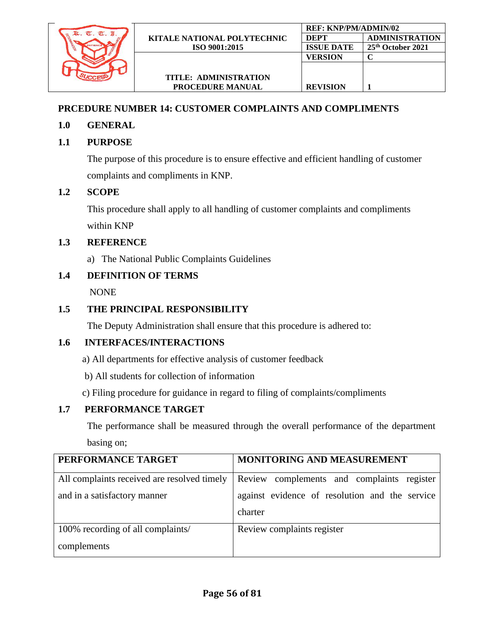

# **PRCEDURE NUMBER 14: CUSTOMER COMPLAINTS AND COMPLIMENTS**

## **1.0 GENERAL**

# **1.1 PURPOSE**

The purpose of this procedure is to ensure effective and efficient handling of customer complaints and compliments in KNP.

## **1.2 SCOPE**

This procedure shall apply to all handling of customer complaints and compliments within KNP

## **1.3 REFERENCE**

a) The National Public Complaints Guidelines

## **1.4 DEFINITION OF TERMS**

NONE

## **1.5 THE PRINCIPAL RESPONSIBILITY**

The Deputy Administration shall ensure that this procedure is adhered to:

## **1.6 INTERFACES/INTERACTIONS**

- a) All departments for effective analysis of customer feedback
- b) All students for collection of information
- c) Filing procedure for guidance in regard to filing of complaints/compliments

## **1.7 PERFORMANCE TARGET**

The performance shall be measured through the overall performance of the department basing on;

| PERFORMANCE TARGET                          | MONITORING AND MEASUREMENT                                |
|---------------------------------------------|-----------------------------------------------------------|
| All complaints received are resolved timely | Review complements and complaints register                |
| and in a satisfactory manner                | against evidence of resolution and the service<br>charter |
| 100% recording of all complaints/           | Review complaints register                                |
| complements                                 |                                                           |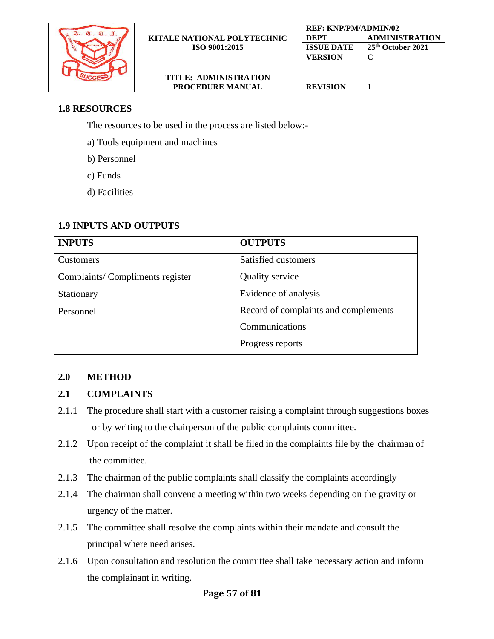

## **1.8 RESOURCES**

The resources to be used in the process are listed below:-

- a) Tools equipment and machines
- b) Personnel
- c) Funds
- d) Facilities

### **1.9 INPUTS AND OUTPUTS**

| <b>INPUTS</b>                   | <b>OUTPUTS</b>                       |
|---------------------------------|--------------------------------------|
| Customers                       | Satisfied customers                  |
| Complaints/Compliments register | <b>Quality service</b>               |
| Stationary                      | Evidence of analysis                 |
| Personnel                       | Record of complaints and complements |
|                                 | Communications                       |
|                                 | Progress reports                     |

## **2.0 METHOD**

## **2.1 COMPLAINTS**

- 2.1.1 The procedure shall start with a customer raising a complaint through suggestions boxes or by writing to the chairperson of the public complaints committee.
- 2.1.2 Upon receipt of the complaint it shall be filed in the complaints file by the chairman of the committee.
- 2.1.3 The chairman of the public complaints shall classify the complaints accordingly
- 2.1.4 The chairman shall convene a meeting within two weeks depending on the gravity or urgency of the matter.
- 2.1.5 The committee shall resolve the complaints within their mandate and consult the principal where need arises.
- 2.1.6 Upon consultation and resolution the committee shall take necessary action and inform the complainant in writing.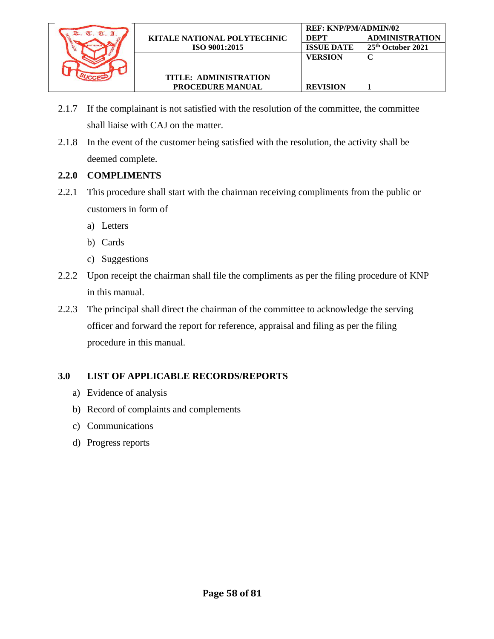

2.1.7 If the complainant is not satisfied with the resolution of the committee, the committee shall liaise with CAJ on the matter.

**REVISION 1**

2.1.8 In the event of the customer being satisfied with the resolution, the activity shall be deemed complete.

### **2.2.0 COMPLIMENTS**

- 2.2.1 This procedure shall start with the chairman receiving compliments from the public or customers in form of
	- a) Letters
	- b) Cards
	- c) Suggestions
- 2.2.2 Upon receipt the chairman shall file the compliments as per the filing procedure of KNP in this manual.
- 2.2.3 The principal shall direct the chairman of the committee to acknowledge the serving officer and forward the report for reference, appraisal and filing as per the filing procedure in this manual.

## **3.0 LIST OF APPLICABLE RECORDS/REPORTS**

- a) Evidence of analysis
- b) Record of complaints and complements
- c) Communications
- d) Progress reports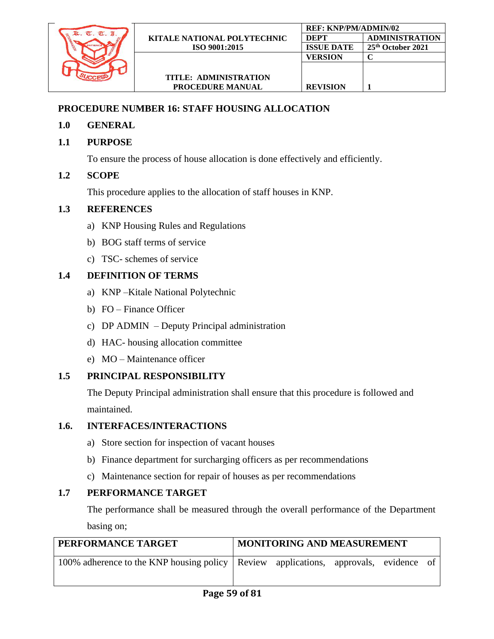

# **PROCEDURE NUMBER 16: STAFF HOUSING ALLOCATION**

- **1.0 GENERAL**
- **1.1 PURPOSE**

To ensure the process of house allocation is done effectively and efficiently.

# **1.2 SCOPE**

This procedure applies to the allocation of staff houses in KNP.

# **1.3 REFERENCES**

- a) KNP Housing Rules and Regulations
- b) BOG staff terms of service
- c) TSC- schemes of service

# **1.4 DEFINITION OF TERMS**

- a) KNP –Kitale National Polytechnic
- b) FO Finance Officer
- c) DP ADMIN Deputy Principal administration
- d) HAC- housing allocation committee
- e) MO Maintenance officer

# **1.5 PRINCIPAL RESPONSIBILITY**

The Deputy Principal administration shall ensure that this procedure is followed and maintained.

# **1.6. INTERFACES/INTERACTIONS**

- a) Store section for inspection of vacant houses
- b) Finance department for surcharging officers as per recommendations
- c) Maintenance section for repair of houses as per recommendations

# **1.7 PERFORMANCE TARGET**

The performance shall be measured through the overall performance of the Department basing on;

| PERFORMANCE TARGET                                                                     | <b>MONITORING AND MEASUREMENT</b> |  |  |  |  |
|----------------------------------------------------------------------------------------|-----------------------------------|--|--|--|--|
| 100% adherence to the KNP housing policy   Review applications, approvals, evidence of |                                   |  |  |  |  |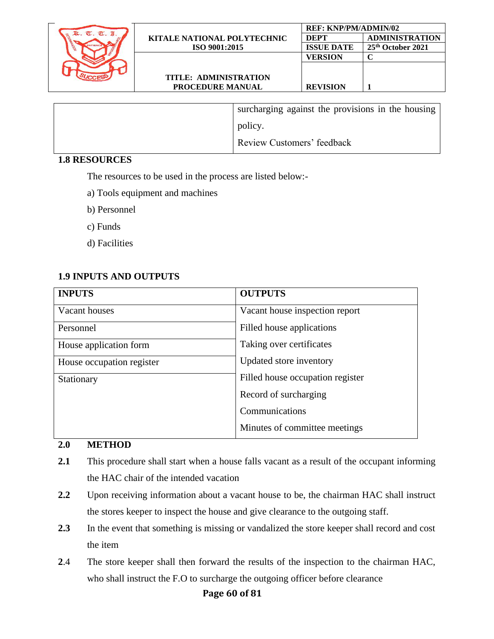

**PROCEDURE MANUAL**

| surcharging against the provisions in the housing |
|---------------------------------------------------|
| policy.                                           |
| <b>Review Customers' feedback</b>                 |

#### **1.8 RESOURCES**

The resources to be used in the process are listed below:-

- a) Tools equipment and machines
- b) Personnel
- c) Funds
- d) Facilities

### **1.9 INPUTS AND OUTPUTS**

| <b>INPUTS</b>             | <b>OUTPUTS</b>                   |
|---------------------------|----------------------------------|
| Vacant houses             | Vacant house inspection report   |
| Personnel                 | Filled house applications        |
| House application form    | Taking over certificates         |
| House occupation register | Updated store inventory          |
| Stationary                | Filled house occupation register |
|                           | Record of surcharging            |
|                           | Communications                   |
|                           | Minutes of committee meetings    |

### **2.0 METHOD**

- **2.1** This procedure shall start when a house falls vacant as a result of the occupant informing the HAC chair of the intended vacation
- **2.2** Upon receiving information about a vacant house to be, the chairman HAC shall instruct the stores keeper to inspect the house and give clearance to the outgoing staff.
- 2.3 In the event that something is missing or vandalized the store keeper shall record and cost the item
- **2**.4 The store keeper shall then forward the results of the inspection to the chairman HAC, who shall instruct the F.O to surcharge the outgoing officer before clearance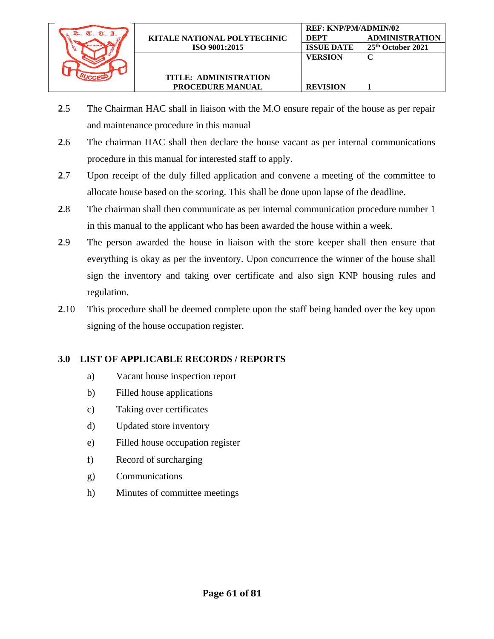

- **2**.5 The Chairman HAC shall in liaison with the M.O ensure repair of the house as per repair and maintenance procedure in this manual
- **2**.6 The chairman HAC shall then declare the house vacant as per internal communications procedure in this manual for interested staff to apply.
- **2**.7 Upon receipt of the duly filled application and convene a meeting of the committee to allocate house based on the scoring. This shall be done upon lapse of the deadline.
- **2**.8 The chairman shall then communicate as per internal communication procedure number 1 in this manual to the applicant who has been awarded the house within a week.
- **2**.9 The person awarded the house in liaison with the store keeper shall then ensure that everything is okay as per the inventory. Upon concurrence the winner of the house shall sign the inventory and taking over certificate and also sign KNP housing rules and regulation.
- **2**.10 This procedure shall be deemed complete upon the staff being handed over the key upon signing of the house occupation register.

## **3.0 LIST OF APPLICABLE RECORDS / REPORTS**

- a) Vacant house inspection report
- b) Filled house applications
- c) Taking over certificates
- d) Updated store inventory
- e) Filled house occupation register
- f) Record of surcharging
- g) Communications
- h) Minutes of committee meetings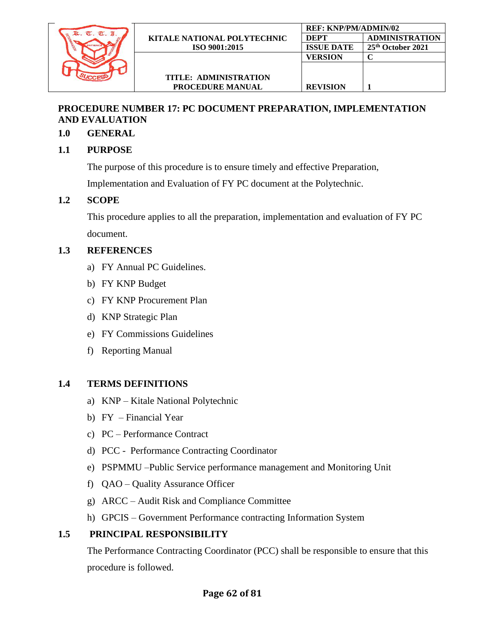

## **PROCEDURE NUMBER 17: PC DOCUMENT PREPARATION, IMPLEMENTATION AND EVALUATION**

## **1.0 GENERAL**

## **1.1 PURPOSE**

The purpose of this procedure is to ensure timely and effective Preparation,

Implementation and Evaluation of FY PC document at the Polytechnic.

## **1.2 SCOPE**

This procedure applies to all the preparation, implementation and evaluation of FY PC document.

## **1.3 REFERENCES**

- a) FY Annual PC Guidelines.
- b) FY KNP Budget
- c) FY KNP Procurement Plan
- d) KNP Strategic Plan
- e) FY Commissions Guidelines
- f) Reporting Manual

## **1.4 TERMS DEFINITIONS**

- a) KNP Kitale National Polytechnic
- b) FY Financial Year
- c) PC Performance Contract
- d) PCC Performance Contracting Coordinator
- e) PSPMMU –Public Service performance management and Monitoring Unit
- f) QAO Quality Assurance Officer
- g) ARCC Audit Risk and Compliance Committee
- h) GPCIS Government Performance contracting Information System

## **1.5 PRINCIPAL RESPONSIBILITY**

The Performance Contracting Coordinator (PCC) shall be responsible to ensure that this procedure is followed.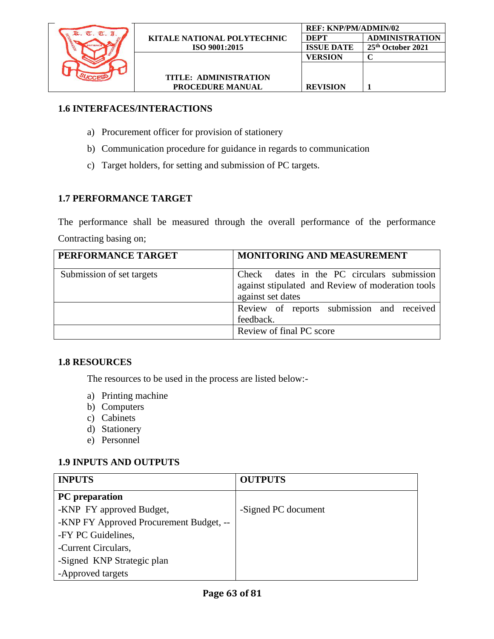

# **1.6 INTERFACES/INTERACTIONS**

- a) Procurement officer for provision of stationery
- b) Communication procedure for guidance in regards to communication
- c) Target holders, for setting and submission of PC targets.

# **1.7 PERFORMANCE TARGET**

The performance shall be measured through the overall performance of the performance Contracting basing on;

| PERFORMANCE TARGET        | MONITORING AND MEASUREMENT                                                                                           |
|---------------------------|----------------------------------------------------------------------------------------------------------------------|
| Submission of set targets | Check dates in the PC circulars submission<br>against stipulated and Review of moderation tools<br>against set dates |
|                           | Review of reports submission and received<br>feedback.                                                               |
|                           | Review of final PC score                                                                                             |

# **1.8 RESOURCES**

The resources to be used in the process are listed below:-

- a) Printing machine
- b) Computers
- c) Cabinets
- d) Stationery
- e) Personnel

# **1.9 INPUTS AND OUTPUTS**

| <b>INPUTS</b>                           | <b>OUTPUTS</b>      |
|-----------------------------------------|---------------------|
| <b>PC</b> preparation                   |                     |
| -KNP FY approved Budget,                | -Signed PC document |
| -KNP FY Approved Procurement Budget, -- |                     |
| -FY PC Guidelines,                      |                     |
| -Current Circulars,                     |                     |
| -Signed KNP Strategic plan              |                     |
| -Approved targets                       |                     |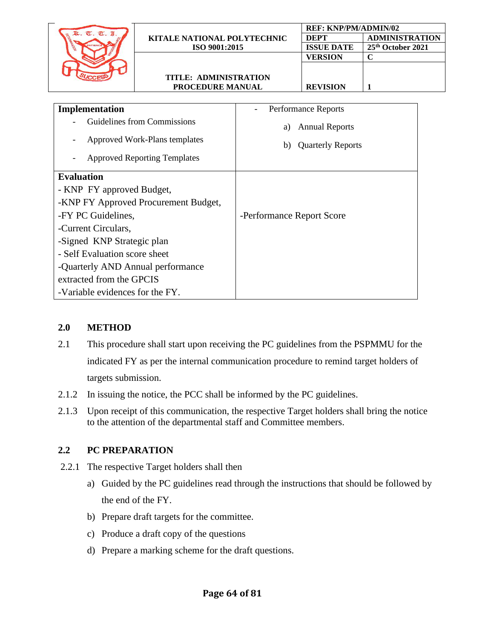| R. T. T. I.                          |                                 |                                | <b>REF: KNP/PM/ADMIN/02</b> |                       |
|--------------------------------------|---------------------------------|--------------------------------|-----------------------------|-----------------------|
|                                      | KITALE NATIONAL POLYTECHNIC     |                                | <b>DEPT</b>                 | <b>ADMINISTRATION</b> |
|                                      | ISO 9001:2015                   |                                | <b>ISSUE DATE</b>           | 25th October 2021     |
|                                      |                                 |                                | <b>VERSION</b>              | $\mathbf C$           |
|                                      |                                 |                                |                             |                       |
|                                      | <b>TITLE: ADMINISTRATION</b>    |                                |                             |                       |
|                                      | PROCEDURE MANUAL                |                                | <b>REVISION</b>             | 1                     |
|                                      |                                 |                                |                             |                       |
| Implementation                       |                                 |                                | Performance Reports         |                       |
|                                      | Guidelines from Commissions     |                                |                             |                       |
|                                      |                                 | <b>Annual Reports</b><br>a)    |                             |                       |
|                                      | Approved Work-Plans templates   | <b>Quarterly Reports</b><br>b) |                             |                       |
|                                      |                                 |                                |                             |                       |
| <b>Approved Reporting Templates</b>  |                                 |                                |                             |                       |
| <b>Evaluation</b>                    |                                 |                                |                             |                       |
| - KNP FY approved Budget,            |                                 |                                |                             |                       |
| -KNP FY Approved Procurement Budget, |                                 |                                |                             |                       |
| -FY PC Guidelines,                   |                                 | -Performance Report Score      |                             |                       |
| -Current Circulars,                  |                                 |                                |                             |                       |
| -Signed KNP Strategic plan           |                                 |                                |                             |                       |
| - Self Evaluation score sheet        |                                 |                                |                             |                       |
| -Quarterly AND Annual performance    |                                 |                                |                             |                       |
| extracted from the GPCIS             |                                 |                                |                             |                       |
|                                      | -Variable evidences for the FY. |                                |                             |                       |

#### **2.0 METHOD**

- 2.1 This procedure shall start upon receiving the PC guidelines from the PSPMMU for the indicated FY as per the internal communication procedure to remind target holders of targets submission.
- 2.1.2 In issuing the notice, the PCC shall be informed by the PC guidelines.
- 2.1.3 Upon receipt of this communication, the respective Target holders shall bring the notice to the attention of the departmental staff and Committee members.

## **2.2 PC PREPARATION**

- 2.2.1 The respective Target holders shall then
	- a) Guided by the PC guidelines read through the instructions that should be followed by the end of the FY.
	- b) Prepare draft targets for the committee.
	- c) Produce a draft copy of the questions
	- d) Prepare a marking scheme for the draft questions.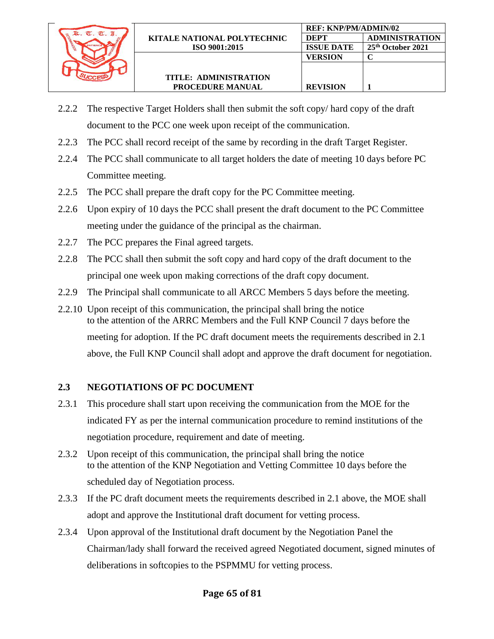

**REF: KNP/PM/ADMIN/02**

**VERSION C**

**REVISION 1**

**DEPT ADMINISTRATION ISSUE DATE 25th October 2021**

- 2.2.3 The PCC shall record receipt of the same by recording in the draft Target Register.
- 2.2.4 The PCC shall communicate to all target holders the date of meeting 10 days before PC Committee meeting.
- 2.2.5 The PCC shall prepare the draft copy for the PC Committee meeting.
- 2.2.6 Upon expiry of 10 days the PCC shall present the draft document to the PC Committee meeting under the guidance of the principal as the chairman.
- 2.2.7 The PCC prepares the Final agreed targets.
- 2.2.8 The PCC shall then submit the soft copy and hard copy of the draft document to the principal one week upon making corrections of the draft copy document.
- 2.2.9 The Principal shall communicate to all ARCC Members 5 days before the meeting.
- 2.2.10 Upon receipt of this communication, the principal shall bring the notice to the attention of the ARRC Members and the Full KNP Council 7 days before the meeting for adoption. If the PC draft document meets the requirements described in 2.1 above, the Full KNP Council shall adopt and approve the draft document for negotiation.

## **2.3 NEGOTIATIONS OF PC DOCUMENT**

- 2.3.1 This procedure shall start upon receiving the communication from the MOE for the indicated FY as per the internal communication procedure to remind institutions of the negotiation procedure, requirement and date of meeting.
- 2.3.2 Upon receipt of this communication, the principal shall bring the notice to the attention of the KNP Negotiation and Vetting Committee 10 days before the scheduled day of Negotiation process.
- 2.3.3 If the PC draft document meets the requirements described in 2.1 above, the MOE shall adopt and approve the Institutional draft document for vetting process.
- 2.3.4 Upon approval of the Institutional draft document by the Negotiation Panel the Chairman/lady shall forward the received agreed Negotiated document, signed minutes of deliberations in softcopies to the PSPMMU for vetting process.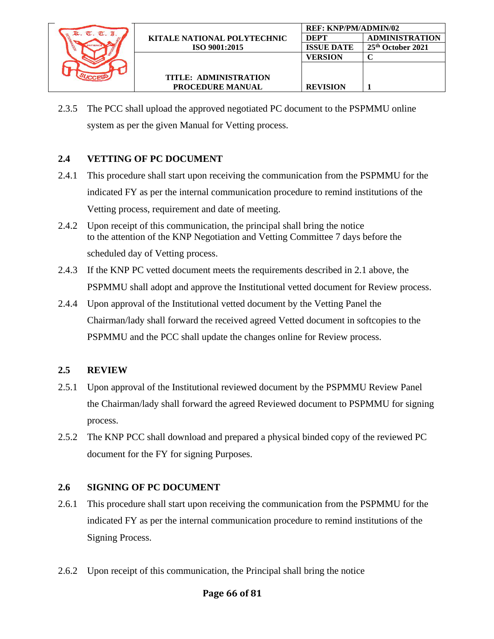

2.3.5 The PCC shall upload the approved negotiated PC document to the PSPMMU online system as per the given Manual for Vetting process.

**REF: KNP/PM/ADMIN/02**

**VERSION C**

**REVISION 1**

**DEPT ADMINISTRATION ISSUE DATE 25th October 2021**

## **2.4 VETTING OF PC DOCUMENT**

- 2.4.1 This procedure shall start upon receiving the communication from the PSPMMU for the indicated FY as per the internal communication procedure to remind institutions of the Vetting process, requirement and date of meeting.
- 2.4.2 Upon receipt of this communication, the principal shall bring the notice to the attention of the KNP Negotiation and Vetting Committee 7 days before the scheduled day of Vetting process.
- 2.4.3 If the KNP PC vetted document meets the requirements described in 2.1 above, the PSPMMU shall adopt and approve the Institutional vetted document for Review process.
- 2.4.4 Upon approval of the Institutional vetted document by the Vetting Panel the Chairman/lady shall forward the received agreed Vetted document in softcopies to the PSPMMU and the PCC shall update the changes online for Review process.

## **2.5 REVIEW**

- 2.5.1 Upon approval of the Institutional reviewed document by the PSPMMU Review Panel the Chairman/lady shall forward the agreed Reviewed document to PSPMMU for signing process.
- 2.5.2 The KNP PCC shall download and prepared a physical binded copy of the reviewed PC document for the FY for signing Purposes.

## **2.6 SIGNING OF PC DOCUMENT**

- 2.6.1 This procedure shall start upon receiving the communication from the PSPMMU for the indicated FY as per the internal communication procedure to remind institutions of the Signing Process.
- 2.6.2 Upon receipt of this communication, the Principal shall bring the notice

## **Page 66 of 81**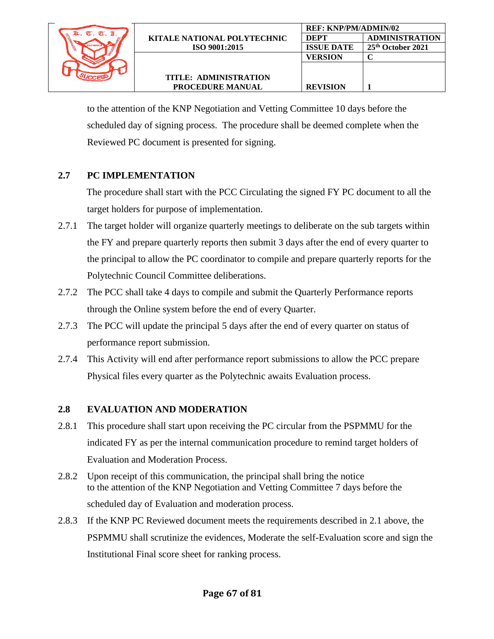

 to the attention of the KNP Negotiation and Vetting Committee 10 days before the scheduled day of signing process. The procedure shall be deemed complete when the Reviewed PC document is presented for signing.

## **2.7 PC IMPLEMENTATION**

The procedure shall start with the PCC Circulating the signed FY PC document to all the target holders for purpose of implementation.

- 2.7.1 The target holder will organize quarterly meetings to deliberate on the sub targets within the FY and prepare quarterly reports then submit 3 days after the end of every quarter to the principal to allow the PC coordinator to compile and prepare quarterly reports for the Polytechnic Council Committee deliberations.
- 2.7.2 The PCC shall take 4 days to compile and submit the Quarterly Performance reports through the Online system before the end of every Quarter.
- 2.7.3 The PCC will update the principal 5 days after the end of every quarter on status of performance report submission.
- 2.7.4 This Activity will end after performance report submissions to allow the PCC prepare Physical files every quarter as the Polytechnic awaits Evaluation process.

## **2.8 EVALUATION AND MODERATION**

- 2.8.1 This procedure shall start upon receiving the PC circular from the PSPMMU for the indicated FY as per the internal communication procedure to remind target holders of Evaluation and Moderation Process.
- 2.8.2 Upon receipt of this communication, the principal shall bring the notice to the attention of the KNP Negotiation and Vetting Committee 7 days before the scheduled day of Evaluation and moderation process.
- 2.8.3 If the KNP PC Reviewed document meets the requirements described in 2.1 above, the PSPMMU shall scrutinize the evidences, Moderate the self-Evaluation score and sign the Institutional Final score sheet for ranking process.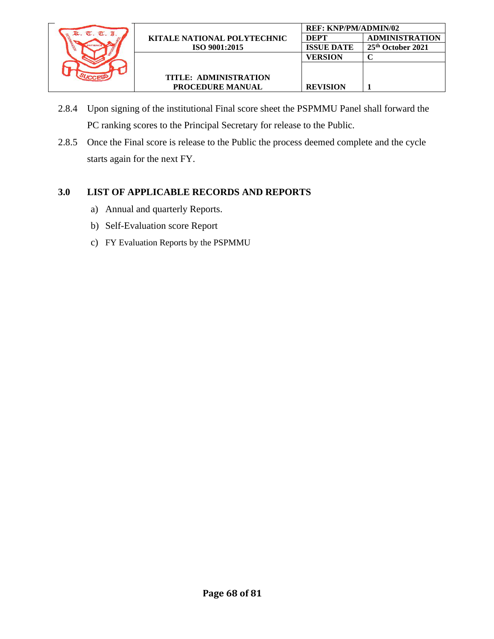

- 2.8.4 Upon signing of the institutional Final score sheet the PSPMMU Panel shall forward the PC ranking scores to the Principal Secretary for release to the Public.
- 2.8.5 Once the Final score is release to the Public the process deemed complete and the cycle starts again for the next FY.

### **3.0 LIST OF APPLICABLE RECORDS AND REPORTS**

- a) Annual and quarterly Reports.
- b) Self-Evaluation score Report
- c) FY Evaluation Reports by the PSPMMU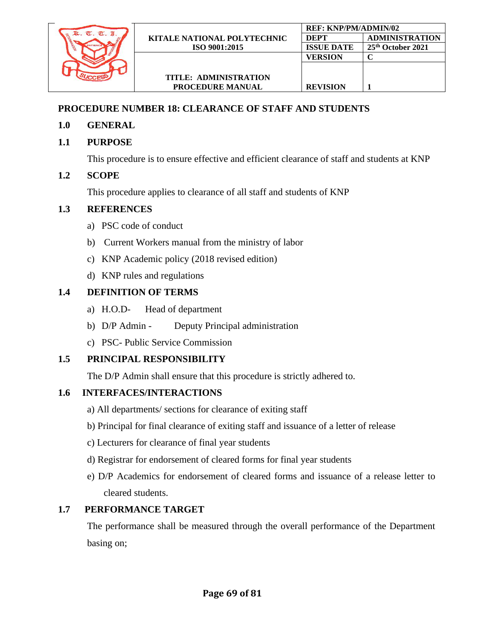

## **PROCEDURE NUMBER 18: CLEARANCE OF STAFF AND STUDENTS**

- **1.0 GENERAL**
- **1.1 PURPOSE**

This procedure is to ensure effective and efficient clearance of staff and students at KNP

# **1.2 SCOPE**

This procedure applies to clearance of all staff and students of KNP

# **1.3 REFERENCES**

- a) PSC code of conduct
- b) Current Workers manual from the ministry of labor
- c) KNP Academic policy (2018 revised edition)
- d) KNP rules and regulations

# **1.4 DEFINITION OF TERMS**

- a) H.O.D- Head of department
- b) D/P Admin Deputy Principal administration
- c) PSC- Public Service Commission

# **1.5 PRINCIPAL RESPONSIBILITY**

The D/P Admin shall ensure that this procedure is strictly adhered to.

# **1.6 INTERFACES/INTERACTIONS**

- a) All departments/ sections for clearance of exiting staff
- b) Principal for final clearance of exiting staff and issuance of a letter of release
- c) Lecturers for clearance of final year students
- d) Registrar for endorsement of cleared forms for final year students
- e) D/P Academics for endorsement of cleared forms and issuance of a release letter to cleared students.

# **1.7 PERFORMANCE TARGET**

The performance shall be measured through the overall performance of the Department basing on;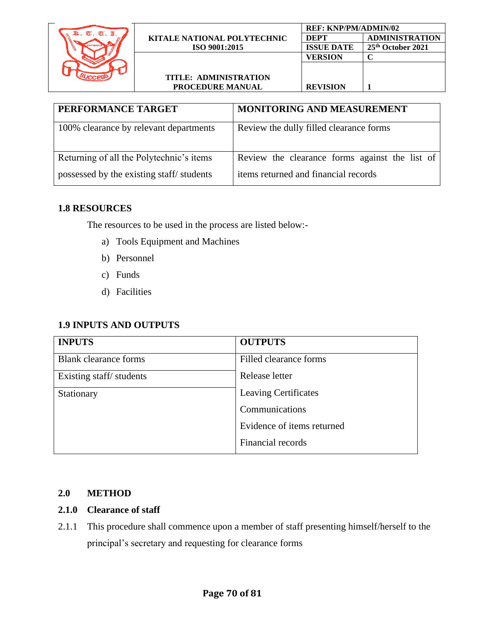

| <b>TITLE: ADMINISTRATION</b> |
|------------------------------|
| <b>PROCEDURE MANUAL</b>      |

| PERFORMANCE TARGET                       | MONITORING AND MEASUREMENT                     |
|------------------------------------------|------------------------------------------------|
| 100% clearance by relevant departments   | Review the dully filled clearance forms        |
| Returning of all the Polytechnic's items | Review the clearance forms against the list of |
| possessed by the existing staff/students | items returned and financial records           |

#### **1.8 RESOURCES**

The resources to be used in the process are listed below:-

- a) Tools Equipment and Machines
- b) Personnel
- c) Funds
- d) Facilities

### **1.9 INPUTS AND OUTPUTS**

| <b>INPUTS</b>                | <b>OUTPUTS</b>              |
|------------------------------|-----------------------------|
| <b>Blank</b> clearance forms | Filled clearance forms      |
| Existing staff/students      | Release letter              |
| Stationary                   | <b>Leaving Certificates</b> |
|                              | Communications              |
|                              | Evidence of items returned  |
|                              | Financial records           |

#### **2.0 METHOD**

#### **2.1.0 Clearance of staff**

2.1.1 This procedure shall commence upon a member of staff presenting himself/herself to the principal's secretary and requesting for clearance forms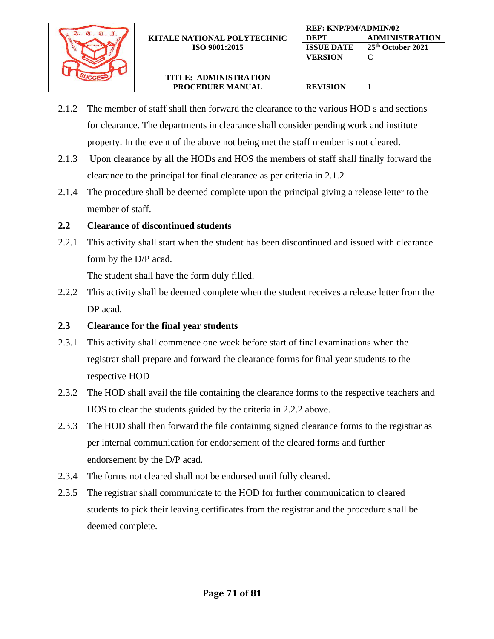

- 2.1.2 The member of staff shall then forward the clearance to the various HOD s and sections for clearance. The departments in clearance shall consider pending work and institute property. In the event of the above not being met the staff member is not cleared.
- 2.1.3 Upon clearance by all the HODs and HOS the members of staff shall finally forward the clearance to the principal for final clearance as per criteria in 2.1.2
- 2.1.4 The procedure shall be deemed complete upon the principal giving a release letter to the member of staff.

## **2.2 Clearance of discontinued students**

2.2.1 This activity shall start when the student has been discontinued and issued with clearance form by the D/P acad.

The student shall have the form duly filled.

2.2.2 This activity shall be deemed complete when the student receives a release letter from the DP acad.

## **2.3 Clearance for the final year students**

- 2.3.1 This activity shall commence one week before start of final examinations when the registrar shall prepare and forward the clearance forms for final year students to the respective HOD
- 2.3.2 The HOD shall avail the file containing the clearance forms to the respective teachers and HOS to clear the students guided by the criteria in 2.2.2 above.
- 2.3.3 The HOD shall then forward the file containing signed clearance forms to the registrar as per internal communication for endorsement of the cleared forms and further endorsement by the D/P acad.
- 2.3.4 The forms not cleared shall not be endorsed until fully cleared.
- 2.3.5 The registrar shall communicate to the HOD for further communication to cleared students to pick their leaving certificates from the registrar and the procedure shall be deemed complete.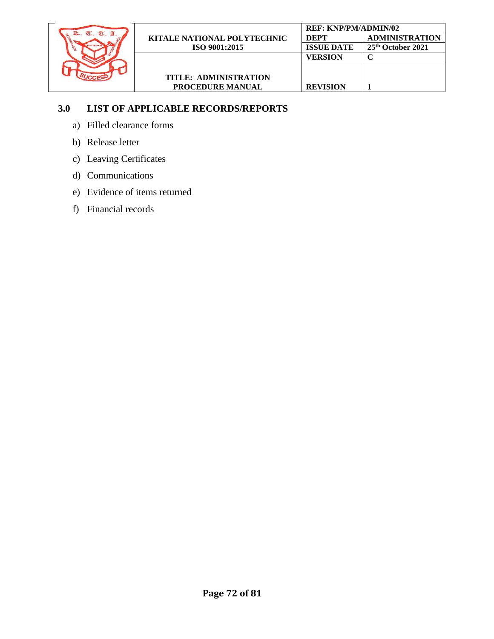

## **3.0 LIST OF APPLICABLE RECORDS/REPORTS**

- a) Filled clearance forms
- b) Release letter
- c) Leaving Certificates
- d) Communications
- e) Evidence of items returned
- f) Financial records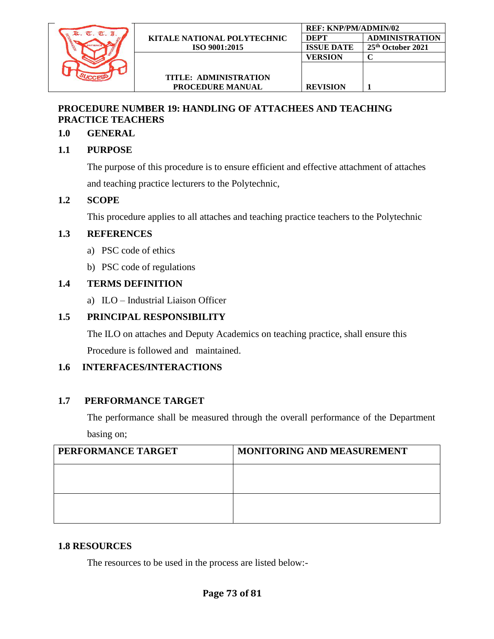

**PROCEDURE MANUAL**

#### **PROCEDURE NUMBER 19: HANDLING OF ATTACHEES AND TEACHING PRACTICE TEACHERS**

#### **1.0 GENERAL**

#### **1.1 PURPOSE**

The purpose of this procedure is to ensure efficient and effective attachment of attaches and teaching practice lecturers to the Polytechnic,

#### **1.2 SCOPE**

This procedure applies to all attaches and teaching practice teachers to the Polytechnic

#### **1.3 REFERENCES**

- a) PSC code of ethics
- b) PSC code of regulations

#### **1.4 TERMS DEFINITION**

a) ILO – Industrial Liaison Officer

### **1.5 PRINCIPAL RESPONSIBILITY**

The ILO on attaches and Deputy Academics on teaching practice, shall ensure this Procedure is followed and maintained.

#### **1.6 INTERFACES/INTERACTIONS**

#### **1.7 PERFORMANCE TARGET**

The performance shall be measured through the overall performance of the Department basing on;

| PERFORMANCE TARGET | <b>MONITORING AND MEASUREMENT</b> |
|--------------------|-----------------------------------|
|                    |                                   |
|                    |                                   |
|                    |                                   |

#### **1.8 RESOURCES**

The resources to be used in the process are listed below:-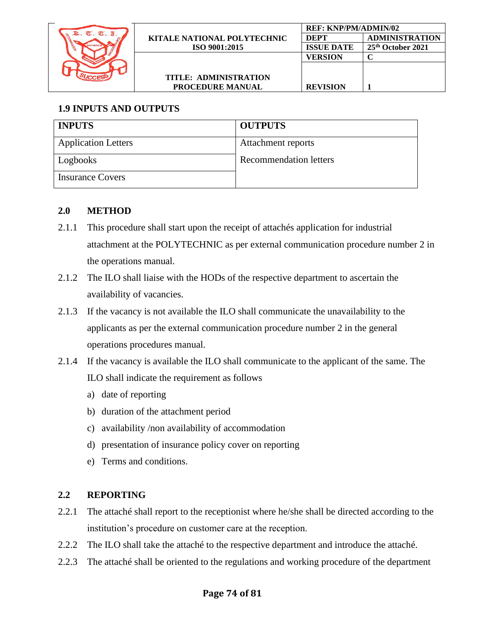

# **1.9 INPUTS AND OUTPUTS**

| <b>INPUTS</b>              | <b>OUTPUTS</b>         |
|----------------------------|------------------------|
| <b>Application Letters</b> | Attachment reports     |
| Logbooks                   | Recommendation letters |
| <b>Insurance Covers</b>    |                        |

## **2.0 METHOD**

- 2.1.1 This procedure shall start upon the receipt of attachés application for industrial attachment at the POLYTECHNIC as per external communication procedure number 2 in the operations manual.
- 2.1.2 The ILO shall liaise with the HODs of the respective department to ascertain the availability of vacancies.
- 2.1.3 If the vacancy is not available the ILO shall communicate the unavailability to the applicants as per the external communication procedure number 2 in the general operations procedures manual.
- 2.1.4 If the vacancy is available the ILO shall communicate to the applicant of the same. The ILO shall indicate the requirement as follows
	- a) date of reporting
	- b) duration of the attachment period
	- c) availability /non availability of accommodation
	- d) presentation of insurance policy cover on reporting
	- e) Terms and conditions.

## **2.2 REPORTING**

- 2.2.1 The attaché shall report to the receptionist where he/she shall be directed according to the institution's procedure on customer care at the reception.
- 2.2.2 The ILO shall take the attaché to the respective department and introduce the attaché.
- 2.2.3 The attaché shall be oriented to the regulations and working procedure of the department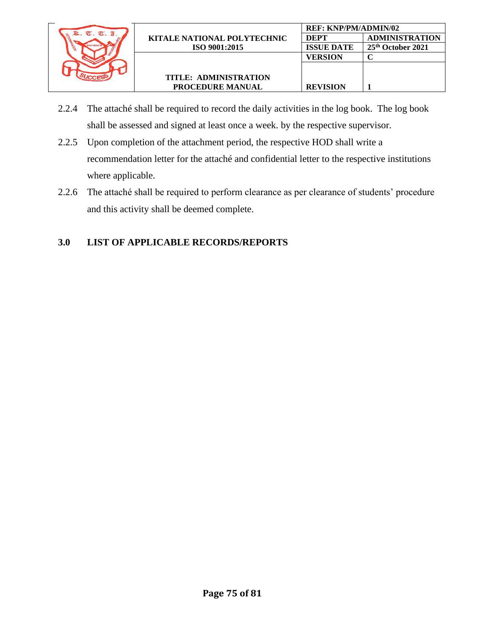

- 2.2.4 The attaché shall be required to record the daily activities in the log book. The log book shall be assessed and signed at least once a week. by the respective supervisor.
- 2.2.5 Upon completion of the attachment period, the respective HOD shall write a recommendation letter for the attaché and confidential letter to the respective institutions where applicable.
- 2.2.6 The attaché shall be required to perform clearance as per clearance of students' procedure and this activity shall be deemed complete.

### **3.0 LIST OF APPLICABLE RECORDS/REPORTS**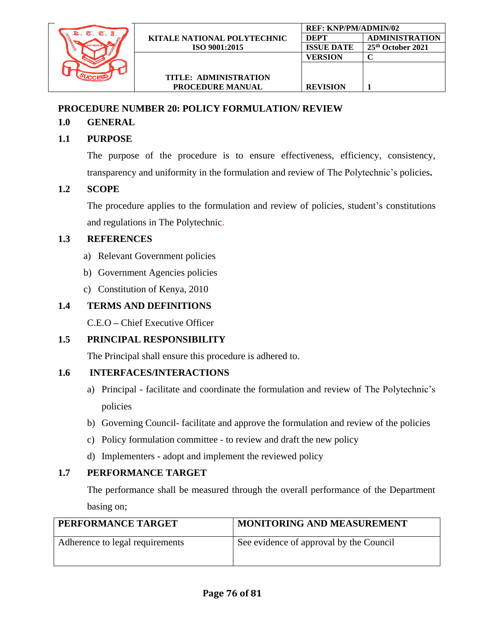

### **PROCEDURE NUMBER 20: POLICY FORMULATION/ REVIEW**

### **1.0 GENERAL**

### **1.1 PURPOSE**

The purpose of the procedure is to ensure effectiveness, efficiency, consistency, transparency and uniformity in the formulation and review of The Polytechnic's policies**.**

### **1.2 SCOPE**

The procedure applies to the formulation and review of policies, student's constitutions and regulations in The Polytechnic.

### **1.3 REFERENCES**

- a) Relevant Government policies
- b) Government Agencies policies
- c) Constitution of Kenya, 2010

### **1.4 TERMS AND DEFINITIONS**

C.E.O **–** Chief Executive Officer

## **1.5 PRINCIPAL RESPONSIBILITY**

The Principal shall ensure this procedure is adhered to.

### **1.6 INTERFACES/INTERACTIONS**

- a) Principal facilitate and coordinate the formulation and review of The Polytechnic's policies
- b) Governing Council- facilitate and approve the formulation and review of the policies
- c) Policy formulation committee to review and draft the new policy
- d) Implementers adopt and implement the reviewed policy

### **1.7 PERFORMANCE TARGET**

The performance shall be measured through the overall performance of the Department basing on;

| PERFORMANCE TARGET              | <b>MONITORING AND MEASUREMENT</b>       |  |  |  |  |
|---------------------------------|-----------------------------------------|--|--|--|--|
| Adherence to legal requirements | See evidence of approval by the Council |  |  |  |  |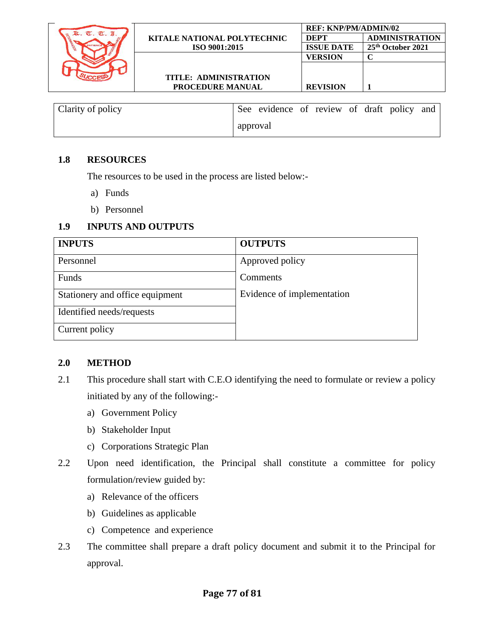|       |                                    | <b>REF: KNP/PM/ADMIN/02</b> |                               |
|-------|------------------------------------|-----------------------------|-------------------------------|
| $\pi$ | <b>KITALE NATIONAL POLYTECHNIC</b> | DEPT                        | <b>ADMINISTRATION</b>         |
|       | ISO 9001:2015                      | <b>ISSUE DATE</b>           | 25 <sup>th</sup> October 2021 |
|       |                                    | VERSION                     |                               |
|       |                                    |                             |                               |
|       | TITLE: ADMINISTRATION              |                             |                               |
|       | <b>PROCEDURE MANUAL</b>            | <b>REVISION</b>             |                               |
|       |                                    |                             |                               |

| Clarity of policy |          | See evidence of review of draft policy and |  |  |  |
|-------------------|----------|--------------------------------------------|--|--|--|
|                   | approval |                                            |  |  |  |

#### **1.8 RESOURCES**

The resources to be used in the process are listed below:-

- a) Funds
- b) Personnel

#### **1.9 INPUTS AND OUTPUTS**

| <b>INPUTS</b>                   | <b>OUTPUTS</b>             |
|---------------------------------|----------------------------|
| Personnel                       | Approved policy            |
| Funds                           | Comments                   |
| Stationery and office equipment | Evidence of implementation |
| Identified needs/requests       |                            |
| Current policy                  |                            |

#### **2.0 METHOD**

- 2.1 This procedure shall start with C.E.O identifying the need to formulate or review a policy initiated by any of the following:
	- a) Government Policy
	- b) Stakeholder Input
	- c) Corporations Strategic Plan
- 2.2 Upon need identification, the Principal shall constitute a committee for policy formulation/review guided by:
	- a) Relevance of the officers
	- b) Guidelines as applicable
	- c) Competence and experience
- 2.3 The committee shall prepare a draft policy document and submit it to the Principal for approval.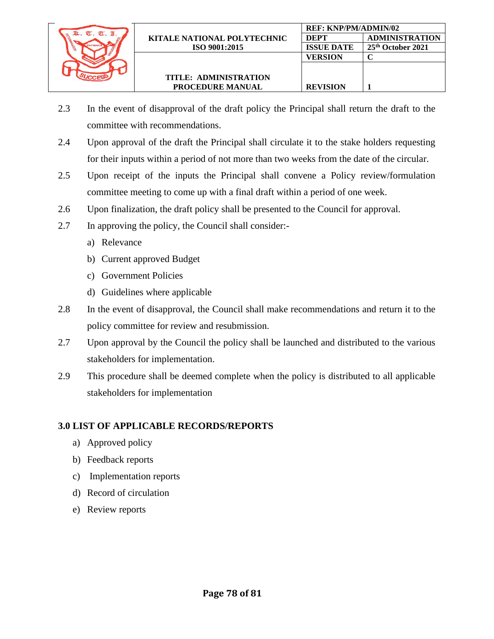

- 2.3 In the event of disapproval of the draft policy the Principal shall return the draft to the committee with recommendations.
- 2.4 Upon approval of the draft the Principal shall circulate it to the stake holders requesting for their inputs within a period of not more than two weeks from the date of the circular.
- 2.5 Upon receipt of the inputs the Principal shall convene a Policy review/formulation committee meeting to come up with a final draft within a period of one week.
- 2.6 Upon finalization, the draft policy shall be presented to the Council for approval.
- 2.7 In approving the policy, the Council shall consider:
	- a) Relevance
	- b) Current approved Budget
	- c) Government Policies
	- d) Guidelines where applicable
- 2.8 In the event of disapproval, the Council shall make recommendations and return it to the policy committee for review and resubmission.
- 2.7 Upon approval by the Council the policy shall be launched and distributed to the various stakeholders for implementation.
- 2.9 This procedure shall be deemed complete when the policy is distributed to all applicable stakeholders for implementation

### **3.0 LIST OF APPLICABLE RECORDS/REPORTS**

- a) Approved policy
- b) Feedback reports
- c) Implementation reports
- d) Record of circulation
- e) Review reports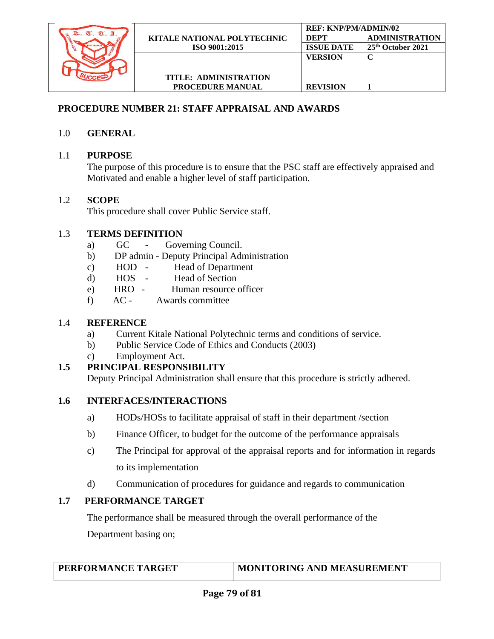

### **PROCEDURE NUMBER 21: STAFF APPRAISAL AND AWARDS**

### 1.0 **GENERAL**

## 1.1 **PURPOSE**

The purpose of this procedure is to ensure that the PSC staff are effectively appraised and Motivated and enable a higher level of staff participation.

## 1.2 **SCOPE**

This procedure shall cover Public Service staff.

## 1.3 **TERMS DEFINITION**

- a) GC Governing Council.
- b) DP admin Deputy Principal Administration
- c) HOD Head of Department
- d) HOS Head of Section
- e) HRO Human resource officer
- f) AC Awards committee

### 1.4 **REFERENCE**

- a) Current Kitale National Polytechnic terms and conditions of service.
- b) Public Service Code of Ethics and Conducts (2003)
- c) Employment Act.

## **1.5 PRINCIPAL RESPONSIBILITY**

Deputy Principal Administration shall ensure that this procedure is strictly adhered.

### **1.6 INTERFACES/INTERACTIONS**

- a) HODs/HOSs to facilitate appraisal of staff in their department /section
- b) Finance Officer, to budget for the outcome of the performance appraisals
- c) The Principal for approval of the appraisal reports and for information in regards to its implementation
- d) Communication of procedures for guidance and regards to communication

# **1.7 PERFORMANCE TARGET**

The performance shall be measured through the overall performance of the Department basing on;

## **MONITORING AND MEASUREMENT**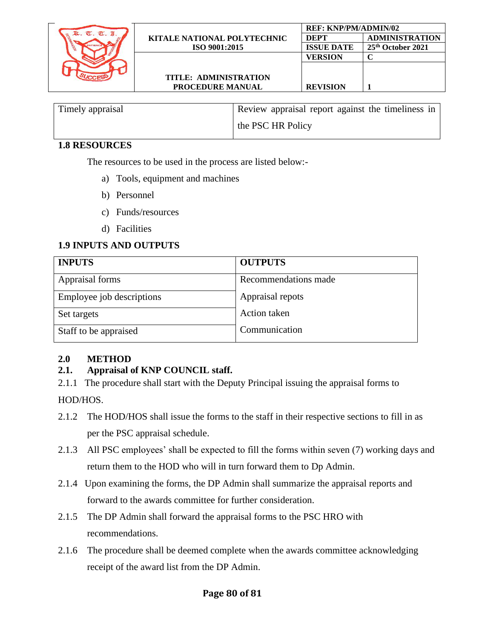

| Timely appraisal | Review appraisal report against the timeliness in |
|------------------|---------------------------------------------------|
|                  | the PSC HR Policy                                 |

### **1.8 RESOURCES**

The resources to be used in the process are listed below:-

- a) Tools, equipment and machines
- b) Personnel
- c) Funds/resources
- d) Facilities

## **1.9 INPUTS AND OUTPUTS**

| <b>INPUTS</b>             | <b>OUTPUTS</b>       |
|---------------------------|----------------------|
| Appraisal forms           | Recommendations made |
| Employee job descriptions | Appraisal repots     |
| Set targets               | <b>Action</b> taken  |
| Staff to be appraised     | Communication        |

## **2.0 METHOD**

# **2.1. Appraisal of KNP COUNCIL staff.**

2.1.1 The procedure shall start with the Deputy Principal issuing the appraisal forms to

HOD/HOS.

- 2.1.2 The HOD/HOS shall issue the forms to the staff in their respective sections to fill in as per the PSC appraisal schedule.
- 2.1.3 All PSC employees' shall be expected to fill the forms within seven (7) working days and return them to the HOD who will in turn forward them to Dp Admin.
- 2.1.4 Upon examining the forms, the DP Admin shall summarize the appraisal reports and forward to the awards committee for further consideration.
- 2.1.5 The DP Admin shall forward the appraisal forms to the PSC HRO with recommendations.
- 2.1.6 The procedure shall be deemed complete when the awards committee acknowledging receipt of the award list from the DP Admin.

### **Page 80 of 81**